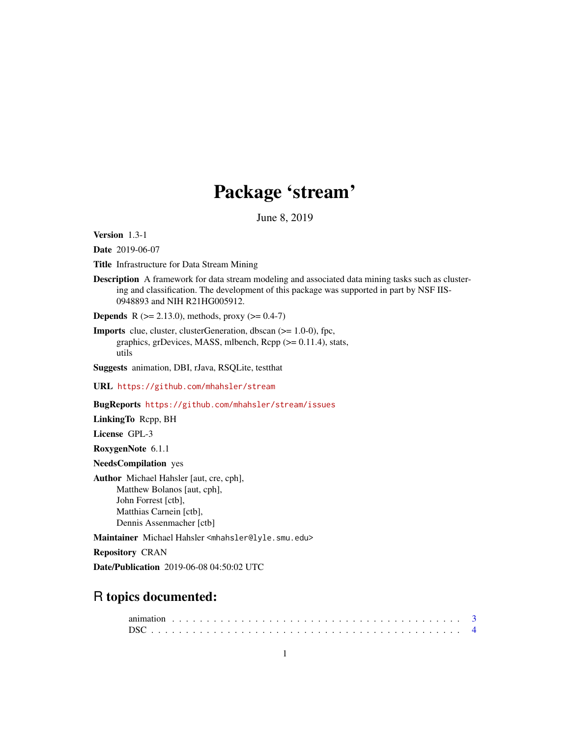# Package 'stream'

June 8, 2019

<span id="page-0-0"></span>Version 1.3-1

Date 2019-06-07

Title Infrastructure for Data Stream Mining

Description A framework for data stream modeling and associated data mining tasks such as clustering and classification. The development of this package was supported in part by NSF IIS-0948893 and NIH R21HG005912.

**Depends** R ( $>= 2.13.0$ ), methods, proxy ( $>= 0.4-7$ )

Imports clue, cluster, clusterGeneration, dbscan (>= 1.0-0), fpc, graphics, grDevices, MASS, mlbench, Rcpp (>= 0.11.4), stats, utils

Suggests animation, DBI, rJava, RSQLite, testthat

URL <https://github.com/mhahsler/stream>

BugReports <https://github.com/mhahsler/stream/issues>

LinkingTo Rcpp, BH

License GPL-3

RoxygenNote 6.1.1

NeedsCompilation yes

Author Michael Hahsler [aut, cre, cph], Matthew Bolanos [aut, cph], John Forrest [ctb], Matthias Carnein [ctb], Dennis Assenmacher [ctb]

Maintainer Michael Hahsler <mhahsler@lyle.smu.edu>

Repository CRAN

Date/Publication 2019-06-08 04:50:02 UTC

# R topics documented: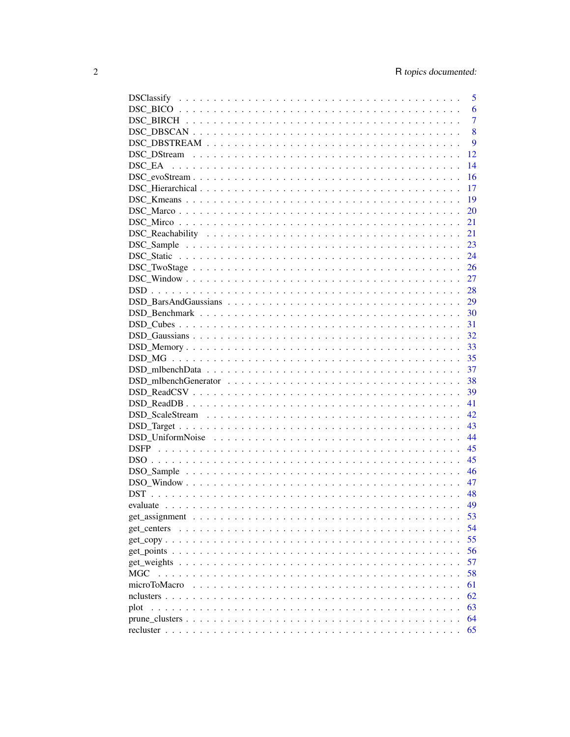|                                                                                                              | 5              |
|--------------------------------------------------------------------------------------------------------------|----------------|
|                                                                                                              | 6              |
|                                                                                                              | $\overline{7}$ |
|                                                                                                              | 8              |
|                                                                                                              | 9              |
|                                                                                                              | 12             |
|                                                                                                              | 14             |
| $DSC\_evoStream \ldots \ldots \ldots \ldots \ldots \ldots \ldots \ldots \ldots \ldots \ldots \ldots \ldots$  | 16             |
|                                                                                                              | 17             |
|                                                                                                              | 19             |
|                                                                                                              | 20             |
|                                                                                                              | 21             |
|                                                                                                              | 21             |
|                                                                                                              | 23             |
|                                                                                                              | 24             |
|                                                                                                              | 26             |
|                                                                                                              |                |
|                                                                                                              |                |
|                                                                                                              |                |
|                                                                                                              |                |
|                                                                                                              | -31            |
|                                                                                                              | 32             |
|                                                                                                              | 33             |
|                                                                                                              | 35             |
|                                                                                                              |                |
|                                                                                                              | 37<br>38       |
|                                                                                                              |                |
|                                                                                                              | 39             |
|                                                                                                              | 41             |
|                                                                                                              | 42             |
|                                                                                                              | 43             |
|                                                                                                              | 44             |
|                                                                                                              | 45             |
|                                                                                                              | 45             |
|                                                                                                              | 46             |
|                                                                                                              | 47             |
|                                                                                                              |                |
|                                                                                                              |                |
|                                                                                                              | 53             |
|                                                                                                              | 54             |
|                                                                                                              | 55             |
|                                                                                                              | 56             |
|                                                                                                              | 57             |
|                                                                                                              | 58             |
| microToMacro                                                                                                 | 61             |
|                                                                                                              | 62             |
| plot                                                                                                         | 63             |
| $prune\_clusters \ldots \ldots \ldots \ldots \ldots \ldots \ldots \ldots \ldots \ldots \ldots \ldots \ldots$ | 64             |
|                                                                                                              | 65             |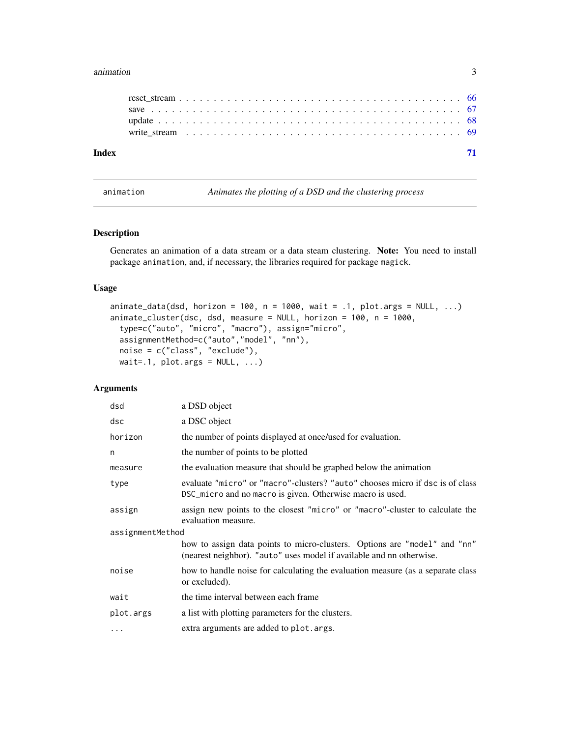#### <span id="page-2-0"></span>animation 3

| Index |  |  |  |  |  |  |  |  |  |  |  |  |  |  |  |  |  |  |  |
|-------|--|--|--|--|--|--|--|--|--|--|--|--|--|--|--|--|--|--|--|
|       |  |  |  |  |  |  |  |  |  |  |  |  |  |  |  |  |  |  |  |
|       |  |  |  |  |  |  |  |  |  |  |  |  |  |  |  |  |  |  |  |
|       |  |  |  |  |  |  |  |  |  |  |  |  |  |  |  |  |  |  |  |
|       |  |  |  |  |  |  |  |  |  |  |  |  |  |  |  |  |  |  |  |

animation *Animates the plotting of a DSD and the clustering process*

# <span id="page-2-1"></span>Description

Generates an animation of a data stream or a data steam clustering. Note: You need to install package animation, and, if necessary, the libraries required for package magick.

# Usage

```
animate_data(dsd, horizon = 100, n = 1000, wait = .1, plot.args = NULL, \dots)
animate_cluster(dsc, dsd, measure = NULL, horizon = 100, n = 1000,
 type=c("auto", "micro", "macro"), assign="micro",
 assignmentMethod=c("auto","model", "nn"),
 noise = c("class", "exclude"),
 wait=.1, plot.args = NULL, ...
```
# Arguments

| dsd              | a DSD object                                                                                                                                      |
|------------------|---------------------------------------------------------------------------------------------------------------------------------------------------|
| dsc              | a DSC object                                                                                                                                      |
| horizon          | the number of points displayed at once/used for evaluation.                                                                                       |
| n                | the number of points to be plotted                                                                                                                |
| measure          | the evaluation measure that should be graphed below the animation                                                                                 |
| type             | evaluate "micro" or "macro"-clusters? "auto" chooses micro if dsc is of class<br>DSC_micro and no macro is given. Otherwise macro is used.        |
| assign           | assign new points to the closest "micro" or "macro"-cluster to calculate the<br>evaluation measure.                                               |
| assignmentMethod |                                                                                                                                                   |
|                  | how to assign data points to micro-clusters. Options are "model" and "nn"<br>(nearest neighbor). "auto" uses model if available and nn otherwise. |
| noise            | how to handle noise for calculating the evaluation measure (as a separate class<br>or excluded).                                                  |
| wait             | the time interval between each frame                                                                                                              |
| plot.args        | a list with plotting parameters for the clusters.                                                                                                 |
| $\cdots$         | extra arguments are added to plot. args.                                                                                                          |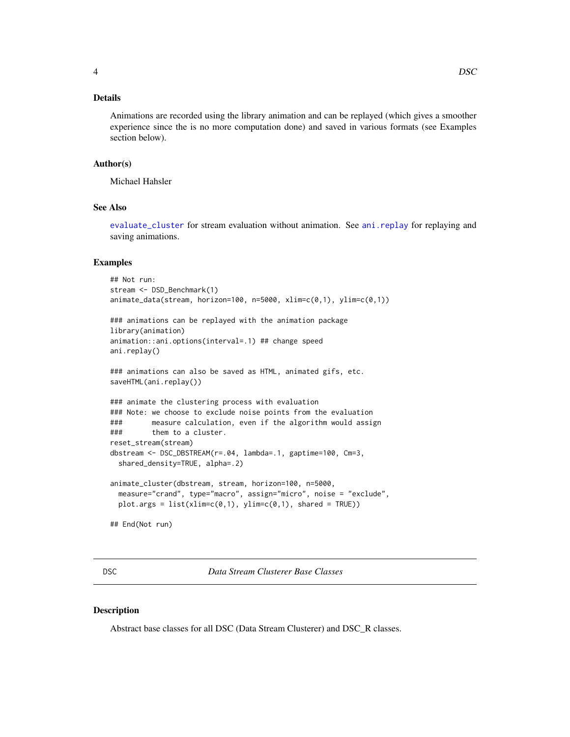# <span id="page-3-0"></span>Details

Animations are recorded using the library animation and can be replayed (which gives a smoother experience since the is no more computation done) and saved in various formats (see Examples section below).

# Author(s)

Michael Hahsler

# See Also

[evaluate\\_cluster](#page-48-1) for stream evaluation without animation. See [ani.replay](#page-0-0) for replaying and saving animations.

#### Examples

```
## Not run:
stream <- DSD_Benchmark(1)
animate_data(stream, horizon=100, n=5000, xlim=c(0,1), ylim=c(0,1))
### animations can be replayed with the animation package
library(animation)
animation::ani.options(interval=.1) ## change speed
ani.replay()
### animations can also be saved as HTML, animated gifs, etc.
saveHTML(ani.replay())
### animate the clustering process with evaluation
### Note: we choose to exclude noise points from the evaluation
### measure calculation, even if the algorithm would assign
### them to a cluster.
reset_stream(stream)
dbstream <- DSC_DBSTREAM(r=.04, lambda=.1, gaptime=100, Cm=3,
 shared_density=TRUE, alpha=.2)
animate_cluster(dbstream, stream, horizon=100, n=5000,
 measure="crand", type="macro", assign="micro", noise = "exclude",
 plot.args = list(xlim=c(0,1), ylim=c(0,1), shared = TRUE))## End(Not run)
```
<span id="page-3-1"></span>DSC *Data Stream Clusterer Base Classes*

#### Description

Abstract base classes for all DSC (Data Stream Clusterer) and DSC\_R classes.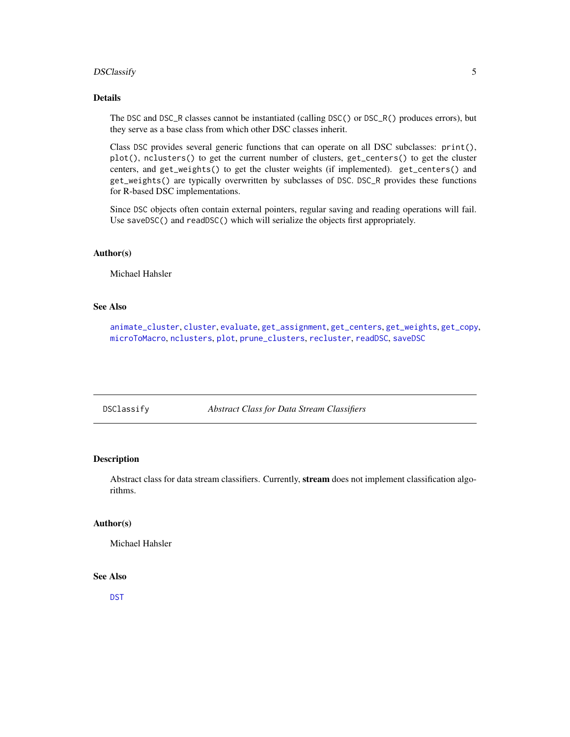# <span id="page-4-0"></span>DSClassify 5

# Details

The DSC and DSC\_R classes cannot be instantiated (calling DSC() or DSC\_R() produces errors), but they serve as a base class from which other DSC classes inherit.

Class DSC provides several generic functions that can operate on all DSC subclasses: print(), plot(), nclusters() to get the current number of clusters, get\_centers() to get the cluster centers, and get\_weights() to get the cluster weights (if implemented). get\_centers() and get\_weights() are typically overwritten by subclasses of DSC. DSC\_R provides these functions for R-based DSC implementations.

Since DSC objects often contain external pointers, regular saving and reading operations will fail. Use saveDSC() and readDSC() which will serialize the objects first appropriately.

# Author(s)

Michael Hahsler

# See Also

[animate\\_cluster](#page-2-1), [cluster](#page-0-0), [evaluate](#page-48-2), [get\\_assignment](#page-52-1), [get\\_centers](#page-53-1), [get\\_weights](#page-56-1), [get\\_copy](#page-54-1), [microToMacro](#page-60-1), [nclusters](#page-61-1), [plot](#page-62-1), [prune\\_clusters](#page-63-1), [recluster](#page-64-1), [readDSC](#page-66-1), [saveDSC](#page-66-1)

DSClassify *Abstract Class for Data Stream Classifiers*

#### Description

Abstract class for data stream classifiers. Currently, stream does not implement classification algorithms.

#### Author(s)

Michael Hahsler

#### See Also

[DST](#page-47-1)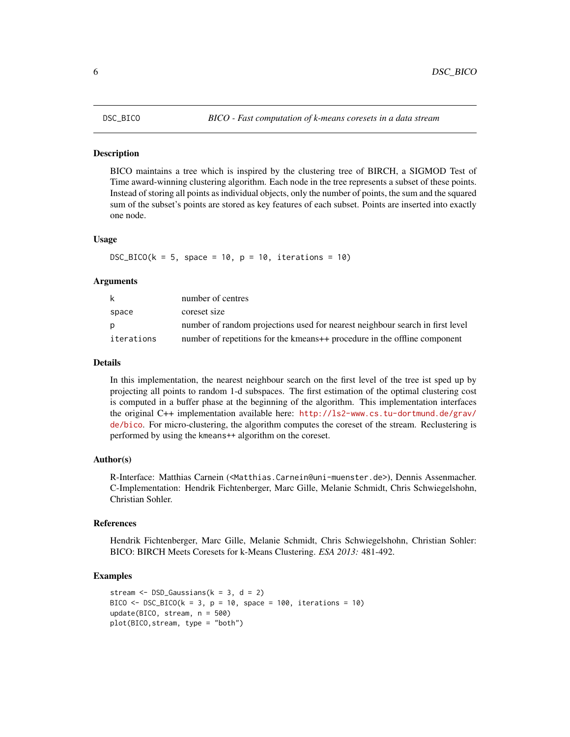<span id="page-5-0"></span>BICO maintains a tree which is inspired by the clustering tree of BIRCH, a SIGMOD Test of Time award-winning clustering algorithm. Each node in the tree represents a subset of these points. Instead of storing all points as individual objects, only the number of points, the sum and the squared sum of the subset's points are stored as key features of each subset. Points are inserted into exactly one node.

#### Usage

 $DSC_BICO(k = 5, space = 10, p = 10, iterations = 10)$ 

#### Arguments

| k          | number of centres                                                             |
|------------|-------------------------------------------------------------------------------|
| space      | coreset size                                                                  |
| D          | number of random projections used for nearest neighbour search in first level |
| iterations | number of repetitions for the kmeans++ procedure in the offline component     |

# Details

In this implementation, the nearest neighbour search on the first level of the tree ist sped up by projecting all points to random 1-d subspaces. The first estimation of the optimal clustering cost is computed in a buffer phase at the beginning of the algorithm. This implementation interfaces the original C++ implementation available here: [http://ls2-www.cs.tu-dortmund.de/grav/](http://ls2-www.cs.tu-dortmund.de/grav/de/bico) [de/bico](http://ls2-www.cs.tu-dortmund.de/grav/de/bico). For micro-clustering, the algorithm computes the coreset of the stream. Reclustering is performed by using the kmeans++ algorithm on the coreset.

# Author(s)

R-Interface: Matthias Carnein (<Matthias.Carnein@uni-muenster.de>), Dennis Assenmacher. C-Implementation: Hendrik Fichtenberger, Marc Gille, Melanie Schmidt, Chris Schwiegelshohn, Christian Sohler.

#### References

Hendrik Fichtenberger, Marc Gille, Melanie Schmidt, Chris Schwiegelshohn, Christian Sohler: BICO: BIRCH Meets Coresets for k-Means Clustering. *ESA 2013:* 481-492.

```
stream \leq DSD_Gaussians(k = 3, d = 2)
BICO \leq DSC_BICO(k = 3, p = 10, space = 100, iterations = 10)
update(BICO, stream, n = 500)
plot(BICO,stream, type = "both")
```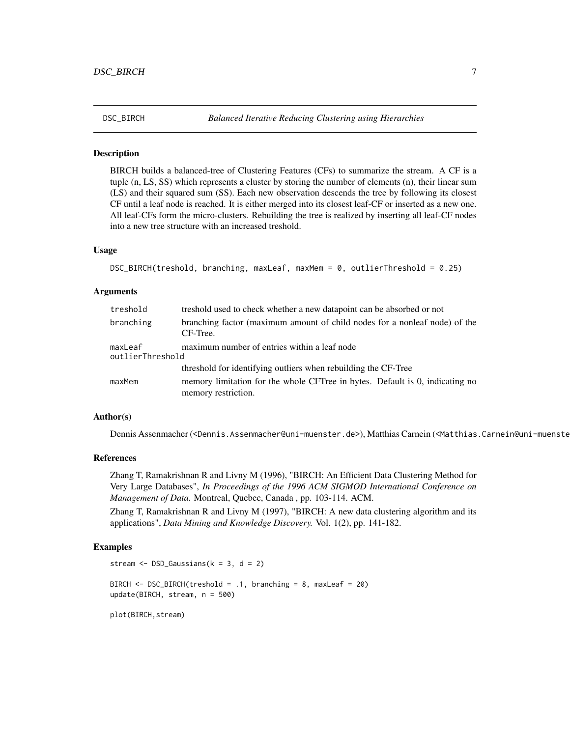<span id="page-6-0"></span>

BIRCH builds a balanced-tree of Clustering Features (CFs) to summarize the stream. A CF is a tuple (n, LS, SS) which represents a cluster by storing the number of elements (n), their linear sum (LS) and their squared sum (SS). Each new observation descends the tree by following its closest CF until a leaf node is reached. It is either merged into its closest leaf-CF or inserted as a new one. All leaf-CFs form the micro-clusters. Rebuilding the tree is realized by inserting all leaf-CF nodes into a new tree structure with an increased treshold.

# Usage

```
DSC_BIRCH(treshold, branching, maxLeaf, maxMem = 0, outlierThreshold = 0.25)
```
# Arguments

| treshold                    | treshold used to check whether a new datapoint can be absorbed or not                               |
|-----------------------------|-----------------------------------------------------------------------------------------------------|
| branching                   | branching factor (maximum amount of child nodes for a nonleaf node) of the<br>CF-Tree.              |
| maxLeaf<br>outlierThreshold | maximum number of entries within a leaf node                                                        |
|                             | threshold for identifying outliers when rebuilding the CF-Tree                                      |
| maxMem                      | memory limitation for the whole CFTree in bytes. Default is 0, indicating no<br>memory restriction. |

#### Author(s)

Dennis Assenmacher (<Dennis.Assenmacher@uni-muenster.de>), Matthias Carnein (<Matthias.Carnein@uni-muenster.de>)

# References

Zhang T, Ramakrishnan R and Livny M (1996), "BIRCH: An Efficient Data Clustering Method for Very Large Databases", *In Proceedings of the 1996 ACM SIGMOD International Conference on Management of Data.* Montreal, Quebec, Canada , pp. 103-114. ACM.

Zhang T, Ramakrishnan R and Livny M (1997), "BIRCH: A new data clustering algorithm and its applications", *Data Mining and Knowledge Discovery.* Vol. 1(2), pp. 141-182.

```
stream \leq DSD_Gaussians(k = 3, d = 2)
BIRCH <- DSC_BIRCH(treshold = .1, branching = 8, maxLeaf = 20)
update(BIRCH, stream, n = 500)
plot(BIRCH,stream)
```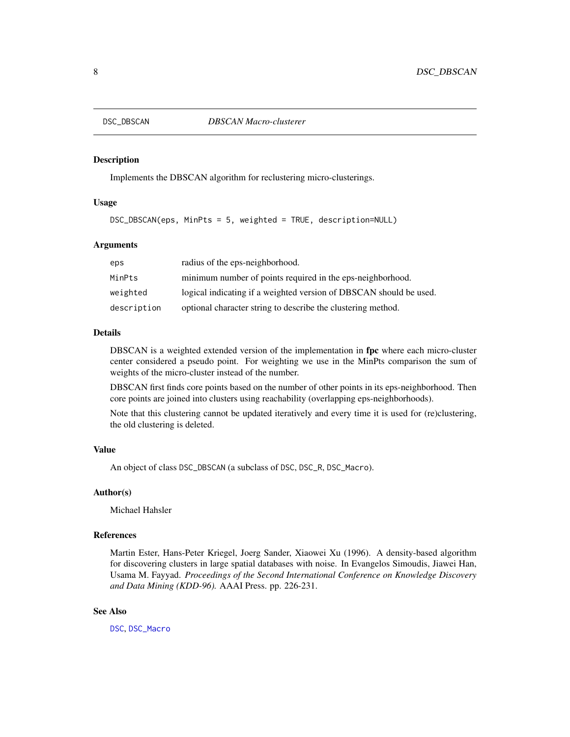<span id="page-7-0"></span>

Implements the DBSCAN algorithm for reclustering micro-clusterings.

# Usage

DSC\_DBSCAN(eps, MinPts = 5, weighted = TRUE, description=NULL)

# Arguments

| eps         | radius of the eps-neighborhood.                                    |
|-------------|--------------------------------------------------------------------|
| MinPts      | minimum number of points required in the eps-neighborhood.         |
| weighted    | logical indicating if a weighted version of DBSCAN should be used. |
| description | optional character string to describe the clustering method.       |

# Details

DBSCAN is a weighted extended version of the implementation in fpc where each micro-cluster center considered a pseudo point. For weighting we use in the MinPts comparison the sum of weights of the micro-cluster instead of the number.

DBSCAN first finds core points based on the number of other points in its eps-neighborhood. Then core points are joined into clusters using reachability (overlapping eps-neighborhoods).

Note that this clustering cannot be updated iteratively and every time it is used for (re)clustering, the old clustering is deleted.

# Value

An object of class DSC\_DBSCAN (a subclass of DSC, DSC\_R, DSC\_Macro).

#### Author(s)

Michael Hahsler

#### References

Martin Ester, Hans-Peter Kriegel, Joerg Sander, Xiaowei Xu (1996). A density-based algorithm for discovering clusters in large spatial databases with noise. In Evangelos Simoudis, Jiawei Han, Usama M. Fayyad. *Proceedings of the Second International Conference on Knowledge Discovery and Data Mining (KDD-96).* AAAI Press. pp. 226-231.

#### See Also

[DSC](#page-3-1), [DSC\\_Macro](#page-19-1)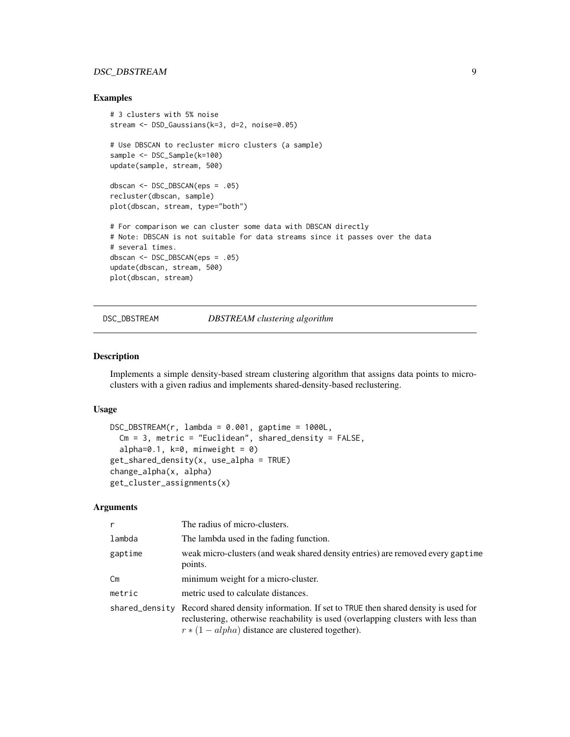# <span id="page-8-0"></span>DSC\_DBSTREAM 9

# Examples

```
# 3 clusters with 5% noise
stream <- DSD_Gaussians(k=3, d=2, noise=0.05)
# Use DBSCAN to recluster micro clusters (a sample)
sample <- DSC_Sample(k=100)
update(sample, stream, 500)
dbscan <- DSC_DBSCAN(eps = .05)
recluster(dbscan, sample)
plot(dbscan, stream, type="both")
# For comparison we can cluster some data with DBSCAN directly
# Note: DBSCAN is not suitable for data streams since it passes over the data
# several times.
dbscan <- DSC_DBSCAN(eps = .05)
update(dbscan, stream, 500)
plot(dbscan, stream)
```
DSC\_DBSTREAM *DBSTREAM clustering algorithm*

# Description

Implements a simple density-based stream clustering algorithm that assigns data points to microclusters with a given radius and implements shared-density-based reclustering.

#### Usage

```
DSC_DBSTREAM(r, lambda = 0.001, gaptime = 1000L,Cm = 3, metric = "Euclidean", shared_density = FALSE,
  alpha=0.1, k=0, minweight = 0)
get_shared_density(x, use_alpha = TRUE)
change_alpha(x, alpha)
get_cluster_assignments(x)
```
# Arguments

| r             | The radius of micro-clusters.                                                                                                                                                                                                            |
|---------------|------------------------------------------------------------------------------------------------------------------------------------------------------------------------------------------------------------------------------------------|
| lambda        | The lambda used in the fading function.                                                                                                                                                                                                  |
| gaptime       | weak micro-clusters (and weak shared density entries) are removed every gaptime<br>points.                                                                                                                                               |
| $\mathsf{Cm}$ | minimum weight for a micro-cluster.                                                                                                                                                                                                      |
| metric        | metric used to calculate distances.                                                                                                                                                                                                      |
|               | shared_density Record shared density information. If set to TRUE then shared density is used for<br>reclustering, otherwise reachability is used (overlapping clusters with less than<br>$r*(1-alpha)$ distance are clustered together). |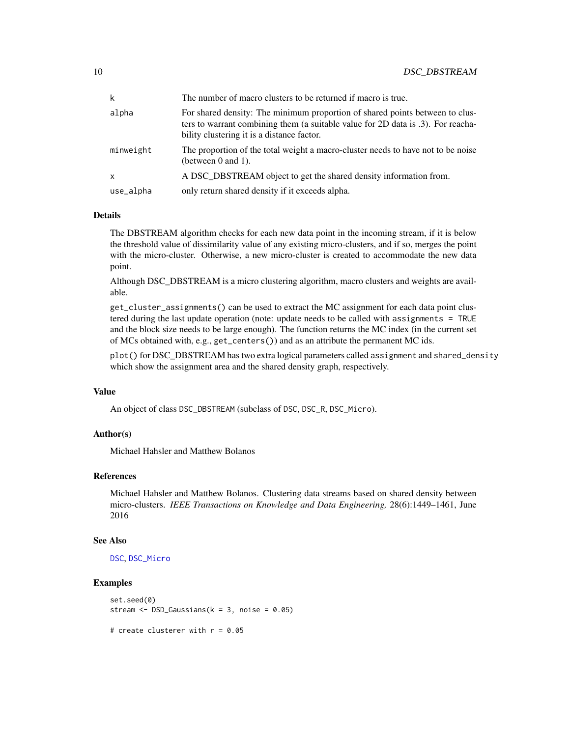| k            | The number of macro clusters to be returned if macro is true.                                                                                                                                                  |
|--------------|----------------------------------------------------------------------------------------------------------------------------------------------------------------------------------------------------------------|
| alpha        | For shared density: The minimum proportion of shared points between to clus-<br>ters to warrant combining them (a suitable value for 2D data is .3). For reacha-<br>bility clustering it is a distance factor. |
| minweight    | The proportion of the total weight a macro-cluster needs to have not to be noise<br>(between $0$ and $1$ ).                                                                                                    |
| $\mathsf{x}$ | A DSC_DBSTREAM object to get the shared density information from.                                                                                                                                              |
| use_alpha    | only return shared density if it exceeds alpha.                                                                                                                                                                |

# Details

The DBSTREAM algorithm checks for each new data point in the incoming stream, if it is below the threshold value of dissimilarity value of any existing micro-clusters, and if so, merges the point with the micro-cluster. Otherwise, a new micro-cluster is created to accommodate the new data point.

Although DSC\_DBSTREAM is a micro clustering algorithm, macro clusters and weights are available.

get\_cluster\_assignments() can be used to extract the MC assignment for each data point clustered during the last update operation (note: update needs to be called with assignments = TRUE and the block size needs to be large enough). The function returns the MC index (in the current set of MCs obtained with, e.g., get\_centers()) and as an attribute the permanent MC ids.

plot() for DSC\_DBSTREAM has two extra logical parameters called assignment and shared\_density which show the assignment area and the shared density graph, respectively.

#### Value

An object of class DSC\_DBSTREAM (subclass of DSC, DSC\_R, DSC\_Micro).

# Author(s)

Michael Hahsler and Matthew Bolanos

# References

Michael Hahsler and Matthew Bolanos. Clustering data streams based on shared density between micro-clusters. *IEEE Transactions on Knowledge and Data Engineering,* 28(6):1449–1461, June 2016

#### See Also

[DSC](#page-3-1), [DSC\\_Micro](#page-20-1)

```
set.seed(0)
stream <- DSD_Gaussians(k = 3, noise = 0.05)
```

```
# create clusterer with r = 0.05
```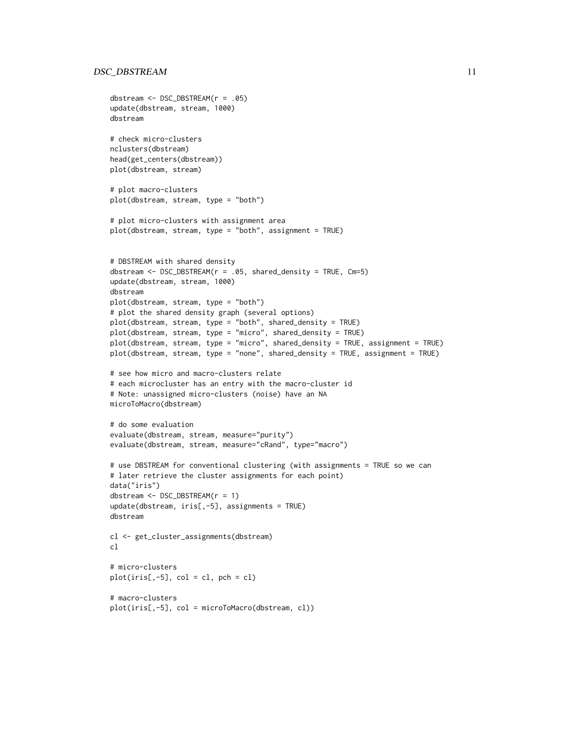# DSC\_DBSTREAM 11

```
dbstream <- DSC_DBSTREAM(r = .05)
update(dbstream, stream, 1000)
dbstream
# check micro-clusters
nclusters(dbstream)
head(get_centers(dbstream))
plot(dbstream, stream)
# plot macro-clusters
plot(dbstream, stream, type = "both")
# plot micro-clusters with assignment area
plot(dbstream, stream, type = "both", assignment = TRUE)
# DBSTREAM with shared density
dbstream <- DSC_DBSTREAM(r = .05, shared_density = TRUE, Cm=5)
update(dbstream, stream, 1000)
dbstream
plot(dbstream, stream, type = "both")
# plot the shared density graph (several options)
plot(dbstream, stream, type = "both", shared_density = TRUE)
plot(dbstream, stream, type = "micro", shared_density = TRUE)
plot(dbstream, stream, type = "micro", shared_density = TRUE, assignment = TRUE)
plot(dbstream, stream, type = "none", shared_density = TRUE, assignment = TRUE)
# see how micro and macro-clusters relate
# each microcluster has an entry with the macro-cluster id
# Note: unassigned micro-clusters (noise) have an NA
microToMacro(dbstream)
# do some evaluation
evaluate(dbstream, stream, measure="purity")
evaluate(dbstream, stream, measure="cRand", type="macro")
# use DBSTREAM for conventional clustering (with assignments = TRUE so we can
# later retrieve the cluster assignments for each point)
data("iris")
dbstream <- DSC_DBSTREAM(r = 1)
update(dbstream, iris[,-5], assignments = TRUE)
dbstream
cl <- get_cluster_assignments(dbstream)
c<sub>1</sub># micro-clusters
plot(iris[, -5], col = cl, pch = cl)# macro-clusters
plot(iris[,-5], col = microToMacro(dbstream, cl))
```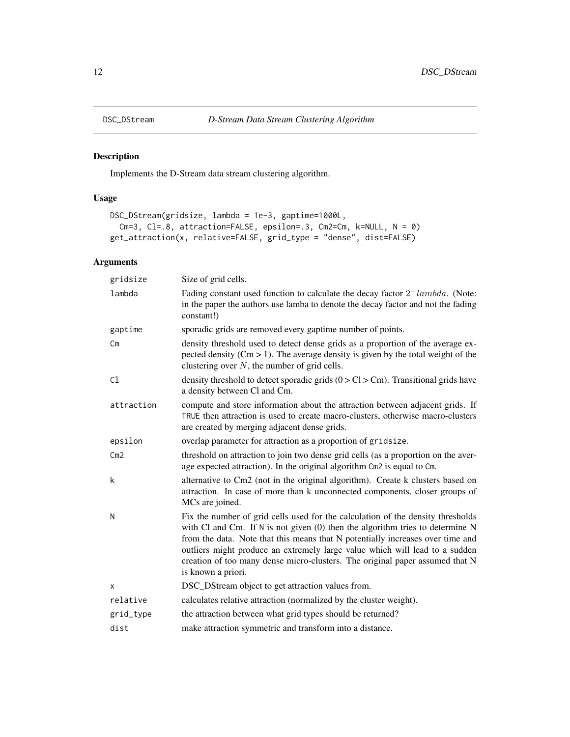<span id="page-11-0"></span>

Implements the D-Stream data stream clustering algorithm.

# Usage

```
DSC_DStream(gridsize, lambda = 1e-3, gaptime=1000L,
 Cm=3, Cl=.8, attraction=FALSE, epsilon=.3, Cm2=Cm, k=NULL, N = 0)
get_attraction(x, relative=FALSE, grid_type = "dense", dist=FALSE)
```
# Arguments

| gridsize      | Size of grid cells.                                                                                                                                                                                                                                                                                                                                                                                                                           |
|---------------|-----------------------------------------------------------------------------------------------------------------------------------------------------------------------------------------------------------------------------------------------------------------------------------------------------------------------------------------------------------------------------------------------------------------------------------------------|
| lambda        | Fading constant used function to calculate the decay factor $2^-$ lambda. (Note:<br>in the paper the authors use lamba to denote the decay factor and not the fading<br>constant!)                                                                                                                                                                                                                                                            |
| gaptime       | sporadic grids are removed every gaptime number of points.                                                                                                                                                                                                                                                                                                                                                                                    |
| $\mathsf{Cm}$ | density threshold used to detect dense grids as a proportion of the average ex-<br>pected density ( $Cm > 1$ ). The average density is given by the total weight of the<br>clustering over $N$ , the number of grid cells.                                                                                                                                                                                                                    |
| C1            | density threshold to detect sporadic grids $(0 > Cl > Cm)$ . Transitional grids have<br>a density between Cl and Cm.                                                                                                                                                                                                                                                                                                                          |
| attraction    | compute and store information about the attraction between adjacent grids. If<br>TRUE then attraction is used to create macro-clusters, otherwise macro-clusters<br>are created by merging adjacent dense grids.                                                                                                                                                                                                                              |
| epsilon       | overlap parameter for attraction as a proportion of gridsize.                                                                                                                                                                                                                                                                                                                                                                                 |
| Cm2           | threshold on attraction to join two dense grid cells (as a proportion on the aver-<br>age expected attraction). In the original algorithm Cm2 is equal to Cm.                                                                                                                                                                                                                                                                                 |
| k             | alternative to Cm2 (not in the original algorithm). Create k clusters based on<br>attraction. In case of more than k unconnected components, closer groups of<br>MCs are joined.                                                                                                                                                                                                                                                              |
| N             | Fix the number of grid cells used for the calculation of the density thresholds<br>with Cl and Cm. If $N$ is not given $(0)$ then the algorithm tries to determine $N$<br>from the data. Note that this means that N potentially increases over time and<br>outliers might produce an extremely large value which will lead to a sudden<br>creation of too many dense micro-clusters. The original paper assumed that N<br>is known a priori. |
| X             | DSC_DStream object to get attraction values from.                                                                                                                                                                                                                                                                                                                                                                                             |
| relative      | calculates relative attraction (normalized by the cluster weight).                                                                                                                                                                                                                                                                                                                                                                            |
| grid_type     | the attraction between what grid types should be returned?                                                                                                                                                                                                                                                                                                                                                                                    |
| dist          | make attraction symmetric and transform into a distance.                                                                                                                                                                                                                                                                                                                                                                                      |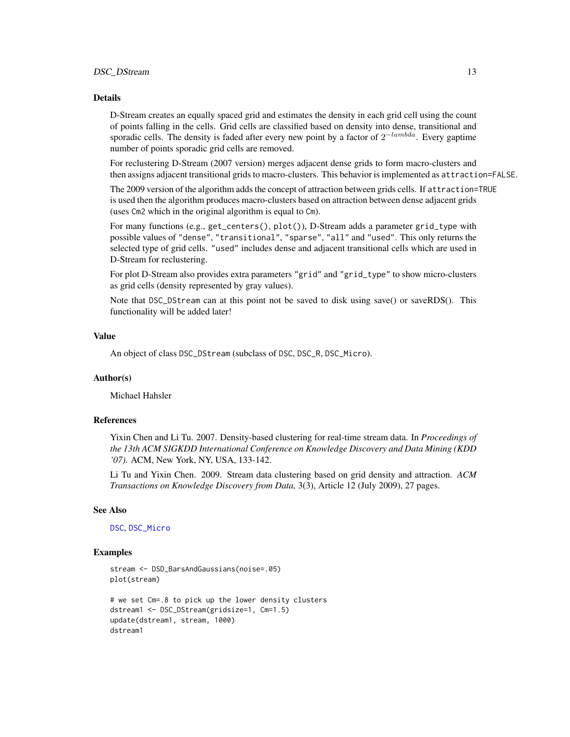# Details

D-Stream creates an equally spaced grid and estimates the density in each grid cell using the count of points falling in the cells. Grid cells are classified based on density into dense, transitional and sporadic cells. The density is faded after every new point by a factor of  $2^{-lambda}$ . Every gaptime number of points sporadic grid cells are removed.

For reclustering D-Stream (2007 version) merges adjacent dense grids to form macro-clusters and then assigns adjacent transitional grids to macro-clusters. This behavior is implemented as attraction=FALSE.

The 2009 version of the algorithm adds the concept of attraction between grids cells. If attraction=TRUE is used then the algorithm produces macro-clusters based on attraction between dense adjacent grids (uses Cm2 which in the original algorithm is equal to Cm).

For many functions (e.g., get\_centers(), plot()), D-Stream adds a parameter grid\_type with possible values of "dense", "transitional", "sparse", "all" and "used". This only returns the selected type of grid cells. "used" includes dense and adjacent transitional cells which are used in D-Stream for reclustering.

For plot D-Stream also provides extra parameters "grid" and "grid\_type" to show micro-clusters as grid cells (density represented by gray values).

Note that DSC\_DStream can at this point not be saved to disk using save() or saveRDS(). This functionality will be added later!

#### Value

An object of class DSC\_DStream (subclass of DSC, DSC\_R, DSC\_Micro).

#### Author(s)

Michael Hahsler

# References

Yixin Chen and Li Tu. 2007. Density-based clustering for real-time stream data. In *Proceedings of the 13th ACM SIGKDD International Conference on Knowledge Discovery and Data Mining (KDD '07).* ACM, New York, NY, USA, 133-142.

Li Tu and Yixin Chen. 2009. Stream data clustering based on grid density and attraction. *ACM Transactions on Knowledge Discovery from Data,* 3(3), Article 12 (July 2009), 27 pages.

# See Also

[DSC](#page-3-1), [DSC\\_Micro](#page-20-1)

```
stream <- DSD_BarsAndGaussians(noise=.05)
plot(stream)
```

```
# we set Cm=.8 to pick up the lower density clusters
dstream1 <- DSC_DStream(gridsize=1, Cm=1.5)
update(dstream1, stream, 1000)
dstream1
```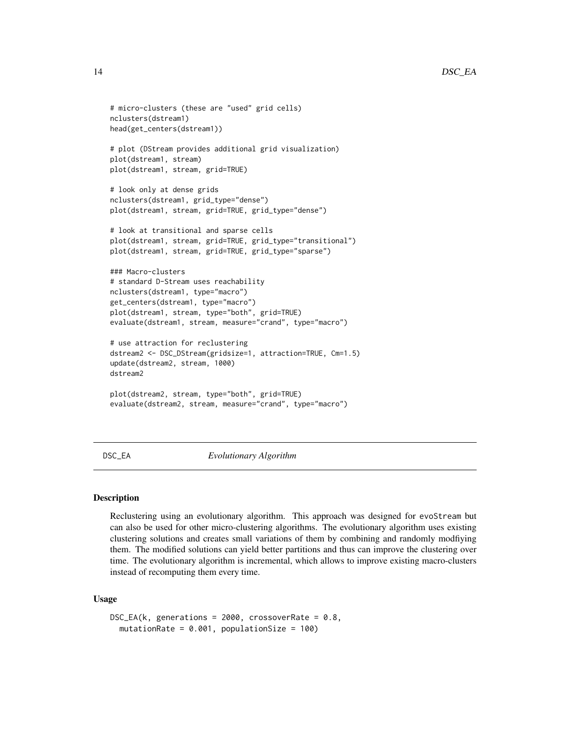```
# micro-clusters (these are "used" grid cells)
nclusters(dstream1)
head(get_centers(dstream1))
# plot (DStream provides additional grid visualization)
plot(dstream1, stream)
plot(dstream1, stream, grid=TRUE)
# look only at dense grids
nclusters(dstream1, grid_type="dense")
plot(dstream1, stream, grid=TRUE, grid_type="dense")
# look at transitional and sparse cells
plot(dstream1, stream, grid=TRUE, grid_type="transitional")
plot(dstream1, stream, grid=TRUE, grid_type="sparse")
### Macro-clusters
# standard D-Stream uses reachability
nclusters(dstream1, type="macro")
get_centers(dstream1, type="macro")
plot(dstream1, stream, type="both", grid=TRUE)
evaluate(dstream1, stream, measure="crand", type="macro")
# use attraction for reclustering
dstream2 <- DSC_DStream(gridsize=1, attraction=TRUE, Cm=1.5)
update(dstream2, stream, 1000)
dstream2
plot(dstream2, stream, type="both", grid=TRUE)
evaluate(dstream2, stream, measure="crand", type="macro")
```
DSC\_EA *Evolutionary Algorithm*

# Description

Reclustering using an evolutionary algorithm. This approach was designed for evoStream but can also be used for other micro-clustering algorithms. The evolutionary algorithm uses existing clustering solutions and creates small variations of them by combining and randomly modfiying them. The modified solutions can yield better partitions and thus can improve the clustering over time. The evolutionary algorithm is incremental, which allows to improve existing macro-clusters instead of recomputing them every time.

# Usage

```
DSC_EA(k, generations = 2000, crossoverRate = 0.8,
 mutationRate = 0.001, populationSize = 100)
```
<span id="page-13-0"></span>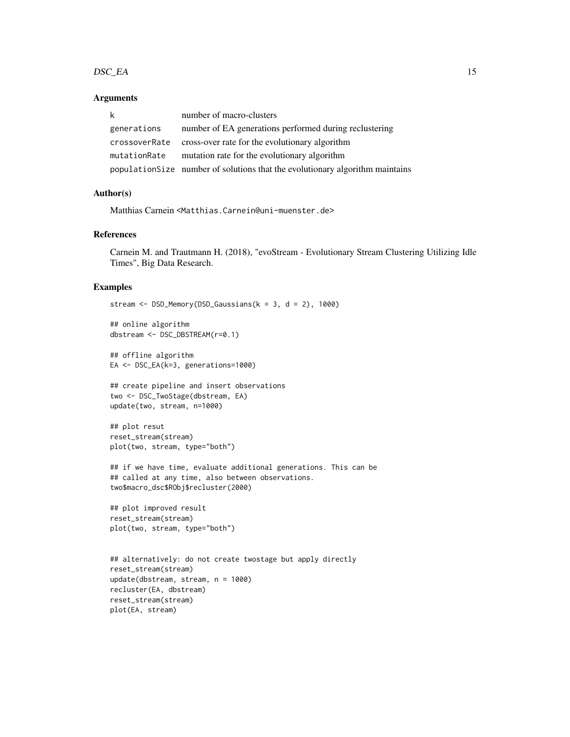#### $DSC\_EA$  15

# Arguments

| k             | number of macro-clusters                                                      |
|---------------|-------------------------------------------------------------------------------|
| generations   | number of EA generations performed during reclustering                        |
| crossoverRate | cross-over rate for the evolutionary algorithm                                |
| mutationRate  | mutation rate for the evolutionary algorithm                                  |
|               | population Size number of solutions that the evolutionary algorithm maintains |

#### Author(s)

Matthias Carnein <Matthias.Carnein@uni-muenster.de>

# References

Carnein M. and Trautmann H. (2018), "evoStream - Evolutionary Stream Clustering Utilizing Idle Times", Big Data Research.

```
stream \leq DSD_Memory(DSD_Gaussians(k = 3, d = 2), 1000)
## online algorithm
dbstream <- DSC_DBSTREAM(r=0.1)
## offline algorithm
EA <- DSC_EA(k=3, generations=1000)
## create pipeline and insert observations
two <- DSC_TwoStage(dbstream, EA)
update(two, stream, n=1000)
## plot resut
reset_stream(stream)
plot(two, stream, type="both")
## if we have time, evaluate additional generations. This can be
## called at any time, also between observations.
two$macro_dsc$RObj$recluster(2000)
## plot improved result
reset_stream(stream)
plot(two, stream, type="both")
## alternatively: do not create twostage but apply directly
reset_stream(stream)
update(dbstream, stream, n = 1000)
recluster(EA, dbstream)
reset_stream(stream)
plot(EA, stream)
```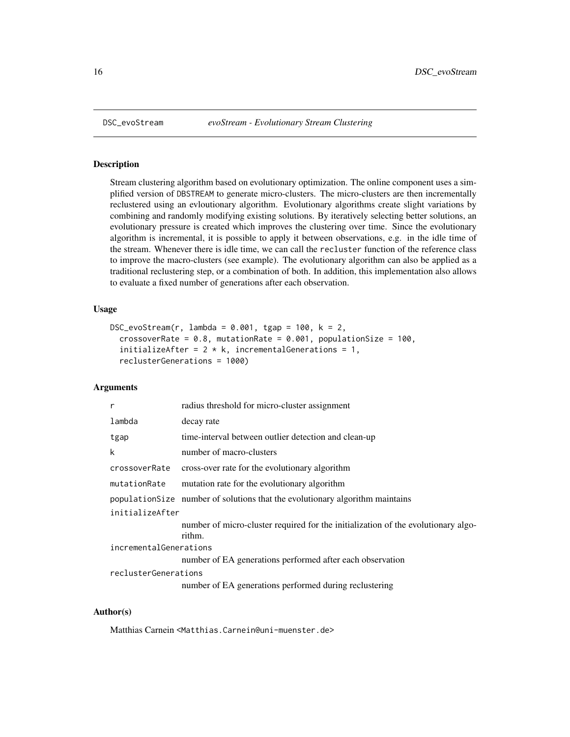Stream clustering algorithm based on evolutionary optimization. The online component uses a simplified version of DBSTREAM to generate micro-clusters. The micro-clusters are then incrementally reclustered using an evloutionary algorithm. Evolutionary algorithms create slight variations by combining and randomly modifying existing solutions. By iteratively selecting better solutions, an evolutionary pressure is created which improves the clustering over time. Since the evolutionary algorithm is incremental, it is possible to apply it between observations, e.g. in the idle time of the stream. Whenever there is idle time, we can call the recluster function of the reference class to improve the macro-clusters (see example). The evolutionary algorithm can also be applied as a traditional reclustering step, or a combination of both. In addition, this implementation also allows to evaluate a fixed number of generations after each observation.

# Usage

```
DSC_evoStream(r, lambda = 0.001, tgap = 100, k = 2,
  crossoverRate = 0.8, mutationRate = 0.001, populationSize = 100,
  initializeAfter = 2 * k, incrementalGenerations = 1,
  reclusterGenerations = 1000)
```
#### Arguments

| r                      | radius threshold for micro-cluster assignment                                               |
|------------------------|---------------------------------------------------------------------------------------------|
| lambda                 | decay rate                                                                                  |
| tgap                   | time-interval between outlier detection and clean-up                                        |
| k                      | number of macro-clusters                                                                    |
| crossoverRate          | cross-over rate for the evolutionary algorithm                                              |
| mutationRate           | mutation rate for the evolutionary algorithm                                                |
|                        | population Size number of solutions that the evolutionary algorithm maintains               |
| initializeAfter        |                                                                                             |
|                        | number of micro-cluster required for the initialization of the evolutionary algo-<br>rithm. |
| incrementalGenerations |                                                                                             |
|                        | number of EA generations performed after each observation                                   |
| reclusterGenerations   |                                                                                             |
|                        | number of EA generations performed during reclustering                                      |

#### Author(s)

Matthias Carnein <Matthias.Carnein@uni-muenster.de>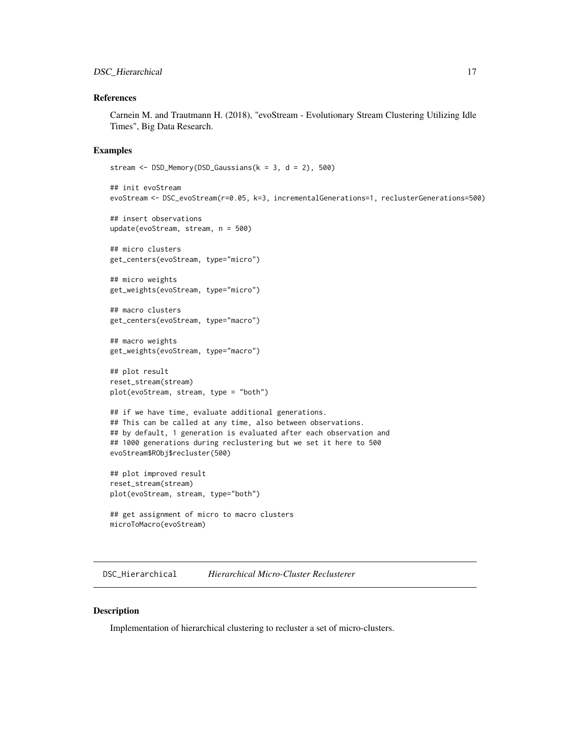# <span id="page-16-0"></span>References

Carnein M. and Trautmann H. (2018), "evoStream - Evolutionary Stream Clustering Utilizing Idle Times", Big Data Research.

# Examples

```
stream <- DSD_Memory(DSD_Gaussians(k = 3, d = 2), 500)
```

```
## init evoStream
evoStream <- DSC_evoStream(r=0.05, k=3, incrementalGenerations=1, reclusterGenerations=500)
## insert observations
update(evoStream, stream, n = 500)
## micro clusters
get_centers(evoStream, type="micro")
## micro weights
get_weights(evoStream, type="micro")
## macro clusters
get_centers(evoStream, type="macro")
## macro weights
get_weights(evoStream, type="macro")
## plot result
reset_stream(stream)
plot(evoStream, stream, type = "both")
## if we have time, evaluate additional generations.
## This can be called at any time, also between observations.
## by default, 1 generation is evaluated after each observation and
## 1000 generations during reclustering but we set it here to 500
evoStream$RObj$recluster(500)
## plot improved result
reset_stream(stream)
plot(evoStream, stream, type="both")
```

```
## get assignment of micro to macro clusters
microToMacro(evoStream)
```
DSC\_Hierarchical *Hierarchical Micro-Cluster Reclusterer*

#### Description

Implementation of hierarchical clustering to recluster a set of micro-clusters.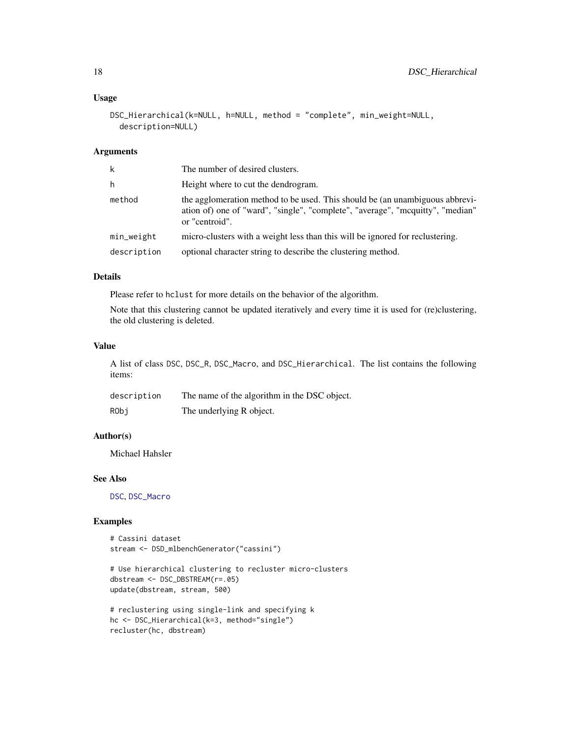# Usage

```
DSC_Hierarchical(k=NULL, h=NULL, method = "complete", min_weight=NULL,
  description=NULL)
```
#### Arguments

| k           | The number of desired clusters.                                                                                                                                                  |
|-------------|----------------------------------------------------------------------------------------------------------------------------------------------------------------------------------|
| h           | Height where to cut the dendrogram.                                                                                                                                              |
| method      | the agglomeration method to be used. This should be (an unambiguous abbrevi-<br>ation of) one of "ward", "single", "complete", "average", "mcquitty", "median"<br>or "centroid". |
| min_weight  | micro-clusters with a weight less than this will be ignored for reclustering.                                                                                                    |
| description | optional character string to describe the clustering method.                                                                                                                     |

# Details

Please refer to hclust for more details on the behavior of the algorithm.

Note that this clustering cannot be updated iteratively and every time it is used for (re)clustering, the old clustering is deleted.

#### Value

A list of class DSC, DSC\_R, DSC\_Macro, and DSC\_Hierarchical. The list contains the following items:

| description | The name of the algorithm in the DSC object. |
|-------------|----------------------------------------------|
| RObi        | The underlying R object.                     |

# Author(s)

Michael Hahsler

# See Also

[DSC](#page-3-1), [DSC\\_Macro](#page-19-1)

```
# Cassini dataset
stream <- DSD_mlbenchGenerator("cassini")
```

```
# Use hierarchical clustering to recluster micro-clusters
dbstream <- DSC_DBSTREAM(r=.05)
update(dbstream, stream, 500)
```

```
# reclustering using single-link and specifying k
hc <- DSC_Hierarchical(k=3, method="single")
recluster(hc, dbstream)
```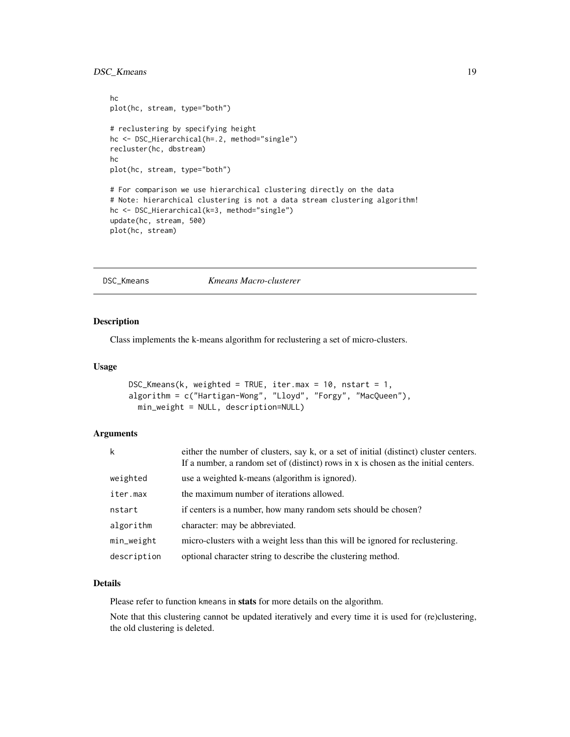# <span id="page-18-0"></span>DSC\_Kmeans 19

```
hc
plot(hc, stream, type="both")
# reclustering by specifying height
hc <- DSC_Hierarchical(h=.2, method="single")
recluster(hc, dbstream)
hc
plot(hc, stream, type="both")
# For comparison we use hierarchical clustering directly on the data
# Note: hierarchical clustering is not a data stream clustering algorithm!
hc <- DSC_Hierarchical(k=3, method="single")
update(hc, stream, 500)
plot(hc, stream)
```
DSC\_Kmeans *Kmeans Macro-clusterer*

# Description

Class implements the k-means algorithm for reclustering a set of micro-clusters.

#### Usage

```
DSC_Kmeans(k, weighted = TRUE, iter.max = 10, nstart = 1,
algorithm = c("Hartigan-Wong", "Lloyd", "Forgy", "MacQueen"),
 min_weight = NULL, description=NULL)
```
# Arguments

| k           | either the number of clusters, say k, or a set of initial (distinct) cluster centers.<br>If a number, a random set of (distinct) rows in x is chosen as the initial centers. |
|-------------|------------------------------------------------------------------------------------------------------------------------------------------------------------------------------|
| weighted    | use a weighted k-means (algorithm is ignored).                                                                                                                               |
| iter.max    | the maximum number of iterations allowed.                                                                                                                                    |
| nstart      | if centers is a number, how many random sets should be chosen?                                                                                                               |
| algorithm   | character: may be abbreviated.                                                                                                                                               |
| min_weight  | micro-clusters with a weight less than this will be ignored for reclustering.                                                                                                |
| description | optional character string to describe the clustering method.                                                                                                                 |

# Details

Please refer to function kmeans in stats for more details on the algorithm.

Note that this clustering cannot be updated iteratively and every time it is used for (re)clustering, the old clustering is deleted.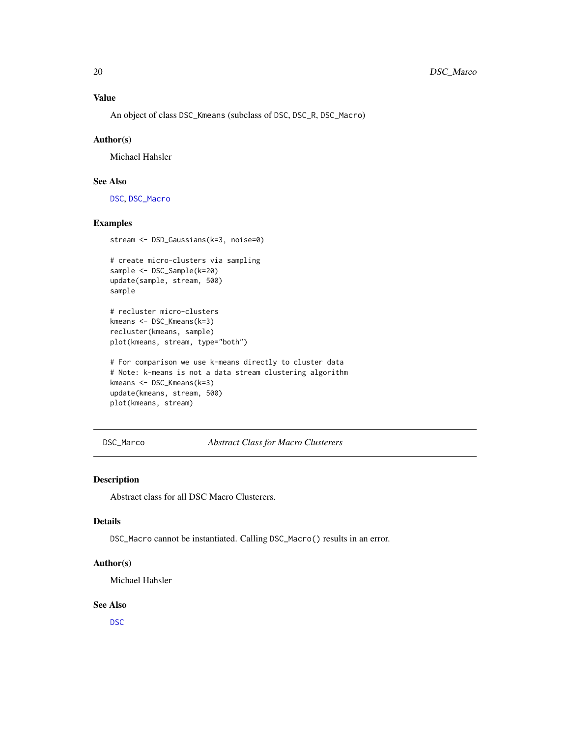<span id="page-19-0"></span>An object of class DSC\_Kmeans (subclass of DSC, DSC\_R, DSC\_Macro)

#### Author(s)

Michael Hahsler

# See Also

[DSC](#page-3-1), [DSC\\_Macro](#page-19-1)

# Examples

stream <- DSD\_Gaussians(k=3, noise=0)

```
# create micro-clusters via sampling
sample <- DSC_Sample(k=20)
update(sample, stream, 500)
sample
```

```
# recluster micro-clusters
kmeans <- DSC_Kmeans(k=3)
recluster(kmeans, sample)
plot(kmeans, stream, type="both")
```

```
# For comparison we use k-means directly to cluster data
# Note: k-means is not a data stream clustering algorithm
kmeans <- DSC_Kmeans(k=3)
update(kmeans, stream, 500)
plot(kmeans, stream)
```
DSC\_Marco *Abstract Class for Macro Clusterers*

#### <span id="page-19-1"></span>Description

Abstract class for all DSC Macro Clusterers.

### Details

DSC\_Macro cannot be instantiated. Calling DSC\_Macro() results in an error.

# Author(s)

Michael Hahsler

#### See Also

[DSC](#page-3-1)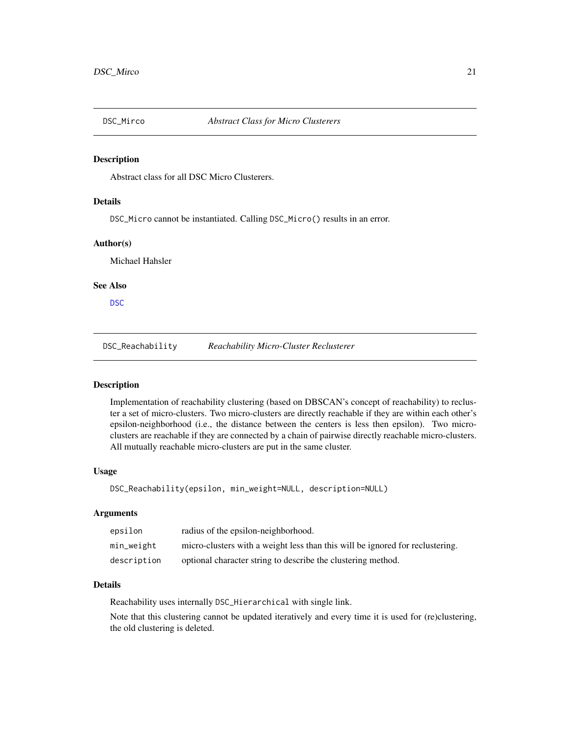<span id="page-20-1"></span><span id="page-20-0"></span>

Abstract class for all DSC Micro Clusterers.

#### Details

DSC\_Micro cannot be instantiated. Calling DSC\_Micro() results in an error.

# Author(s)

Michael Hahsler

# See Also

[DSC](#page-3-1)

DSC\_Reachability *Reachability Micro-Cluster Reclusterer*

#### Description

Implementation of reachability clustering (based on DBSCAN's concept of reachability) to recluster a set of micro-clusters. Two micro-clusters are directly reachable if they are within each other's epsilon-neighborhood (i.e., the distance between the centers is less then epsilon). Two microclusters are reachable if they are connected by a chain of pairwise directly reachable micro-clusters. All mutually reachable micro-clusters are put in the same cluster.

#### Usage

DSC\_Reachability(epsilon, min\_weight=NULL, description=NULL)

#### Arguments

| epsilon     | radius of the epsilon-neighborhood.                                           |
|-------------|-------------------------------------------------------------------------------|
| min_weight  | micro-clusters with a weight less than this will be ignored for reclustering. |
| description | optional character string to describe the clustering method.                  |

#### Details

Reachability uses internally DSC\_Hierarchical with single link.

Note that this clustering cannot be updated iteratively and every time it is used for (re)clustering, the old clustering is deleted.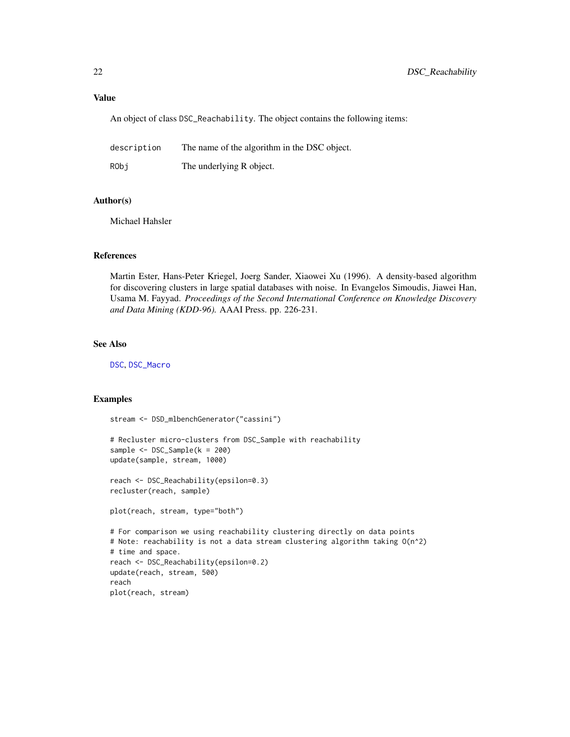#### Value

An object of class DSC\_Reachability. The object contains the following items:

| description | The name of the algorithm in the DSC object. |
|-------------|----------------------------------------------|
| RObi        | The underlying R object.                     |

#### Author(s)

Michael Hahsler

#### References

Martin Ester, Hans-Peter Kriegel, Joerg Sander, Xiaowei Xu (1996). A density-based algorithm for discovering clusters in large spatial databases with noise. In Evangelos Simoudis, Jiawei Han, Usama M. Fayyad. *Proceedings of the Second International Conference on Knowledge Discovery and Data Mining (KDD-96).* AAAI Press. pp. 226-231.

#### See Also

[DSC](#page-3-1), [DSC\\_Macro](#page-19-1)

```
stream <- DSD_mlbenchGenerator("cassini")
```

```
# Recluster micro-clusters from DSC_Sample with reachability
sample <- DSC_Sample(k = 200)
update(sample, stream, 1000)
```

```
reach <- DSC_Reachability(epsilon=0.3)
recluster(reach, sample)
```

```
plot(reach, stream, type="both")
```

```
# For comparison we using reachability clustering directly on data points
# Note: reachability is not a data stream clustering algorithm taking O(n^2)
# time and space.
reach <- DSC_Reachability(epsilon=0.2)
update(reach, stream, 500)
reach
plot(reach, stream)
```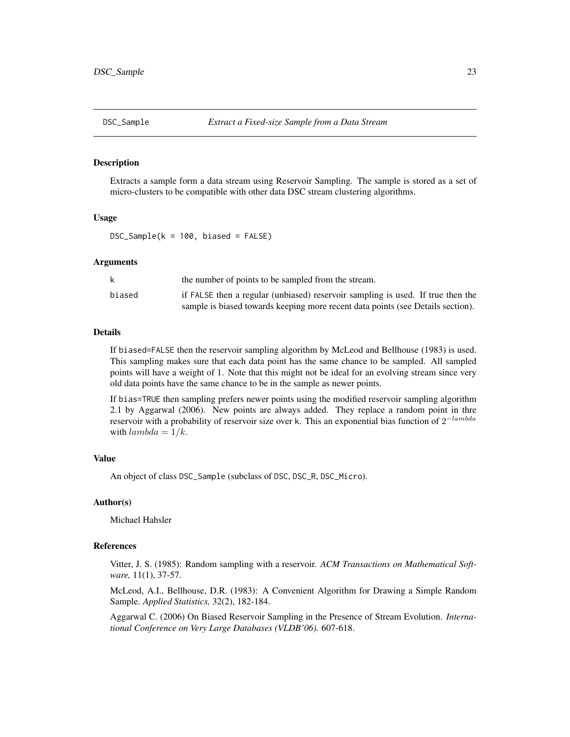<span id="page-22-0"></span>

Extracts a sample form a data stream using Reservoir Sampling. The sample is stored as a set of micro-clusters to be compatible with other data DSC stream clustering algorithms.

#### Usage

 $DSC\_Sample(k = 100, biased = FALSE)$ 

#### Arguments

|        | the number of points to be sampled from the stream.                             |
|--------|---------------------------------------------------------------------------------|
| biased | if FALSE then a regular (unbiased) reservoir sampling is used. If true then the |
|        | sample is biased towards keeping more recent data points (see Details section). |

# Details

If biased=FALSE then the reservoir sampling algorithm by McLeod and Bellhouse (1983) is used. This sampling makes sure that each data point has the same chance to be sampled. All sampled points will have a weight of 1. Note that this might not be ideal for an evolving stream since very old data points have the same chance to be in the sample as newer points.

If bias=TRUE then sampling prefers newer points using the modified reservoir sampling algorithm 2.1 by Aggarwal (2006). New points are always added. They replace a random point in thre reservoir with a probability of reservoir size over k. This an exponential bias function of  $2^{-lambda}$ with  $lambda = 1/k$ .

#### Value

An object of class DSC\_Sample (subclass of DSC, DSC\_R, DSC\_Micro).

#### Author(s)

Michael Hahsler

#### References

Vitter, J. S. (1985): Random sampling with a reservoir. *ACM Transactions on Mathematical Software,* 11(1), 37-57.

McLeod, A.I., Bellhouse, D.R. (1983): A Convenient Algorithm for Drawing a Simple Random Sample. *Applied Statistics,* 32(2), 182-184.

Aggarwal C. (2006) On Biased Reservoir Sampling in the Presence of Stream Evolution. *International Conference on Very Large Databases (VLDB'06).* 607-618.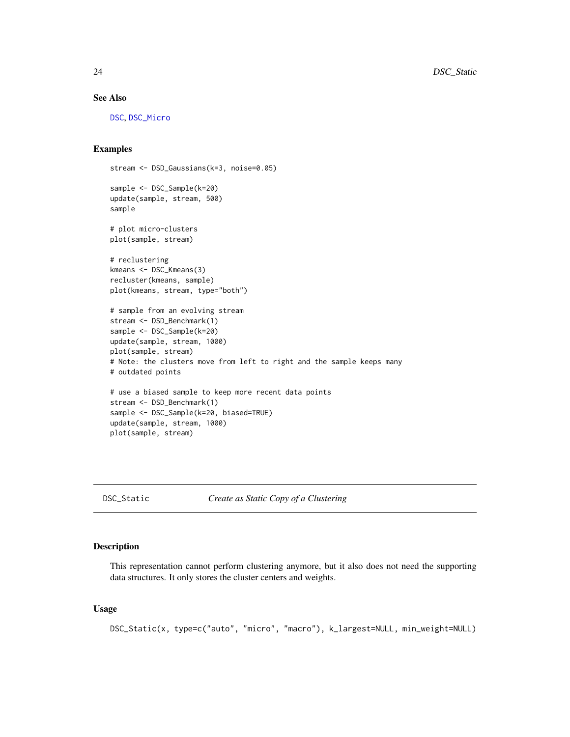# See Also

[DSC](#page-3-1), [DSC\\_Micro](#page-20-1)

### Examples

```
stream <- DSD_Gaussians(k=3, noise=0.05)
sample <- DSC_Sample(k=20)
update(sample, stream, 500)
sample
# plot micro-clusters
plot(sample, stream)
# reclustering
kmeans <- DSC_Kmeans(3)
recluster(kmeans, sample)
plot(kmeans, stream, type="both")
# sample from an evolving stream
stream <- DSD_Benchmark(1)
sample <- DSC_Sample(k=20)
update(sample, stream, 1000)
plot(sample, stream)
# Note: the clusters move from left to right and the sample keeps many
# outdated points
# use a biased sample to keep more recent data points
stream <- DSD_Benchmark(1)
sample <- DSC_Sample(k=20, biased=TRUE)
update(sample, stream, 1000)
plot(sample, stream)
```
DSC\_Static *Create as Static Copy of a Clustering*

#### Description

This representation cannot perform clustering anymore, but it also does not need the supporting data structures. It only stores the cluster centers and weights.

#### Usage

```
DSC_Static(x, type=c("auto", "micro", "macro"), k_largest=NULL, min_weight=NULL)
```
<span id="page-23-0"></span>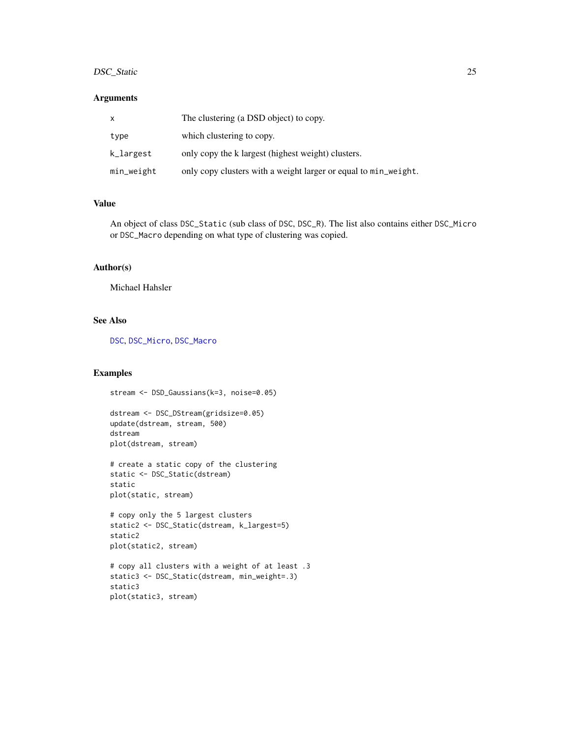# DSC\_Static 25

# Arguments

| x          | The clustering (a DSD object) to copy.                          |
|------------|-----------------------------------------------------------------|
| type       | which clustering to copy.                                       |
| k_largest  | only copy the k largest (highest weight) clusters.              |
| min_weight | only copy clusters with a weight larger or equal to min_weight. |

# Value

An object of class DSC\_Static (sub class of DSC, DSC\_R). The list also contains either DSC\_Micro or DSC\_Macro depending on what type of clustering was copied.

# Author(s)

Michael Hahsler

# See Also

[DSC](#page-3-1), [DSC\\_Micro](#page-20-1), [DSC\\_Macro](#page-19-1)

# Examples

```
stream <- DSD_Gaussians(k=3, noise=0.05)
```
dstream <- DSC\_DStream(gridsize=0.05) update(dstream, stream, 500) dstream plot(dstream, stream)

```
# create a static copy of the clustering
static <- DSC_Static(dstream)
static
plot(static, stream)
```

```
# copy only the 5 largest clusters
static2 <- DSC_Static(dstream, k_largest=5)
static2
plot(static2, stream)
```

```
# copy all clusters with a weight of at least .3
static3 <- DSC_Static(dstream, min_weight=.3)
static3
plot(static3, stream)
```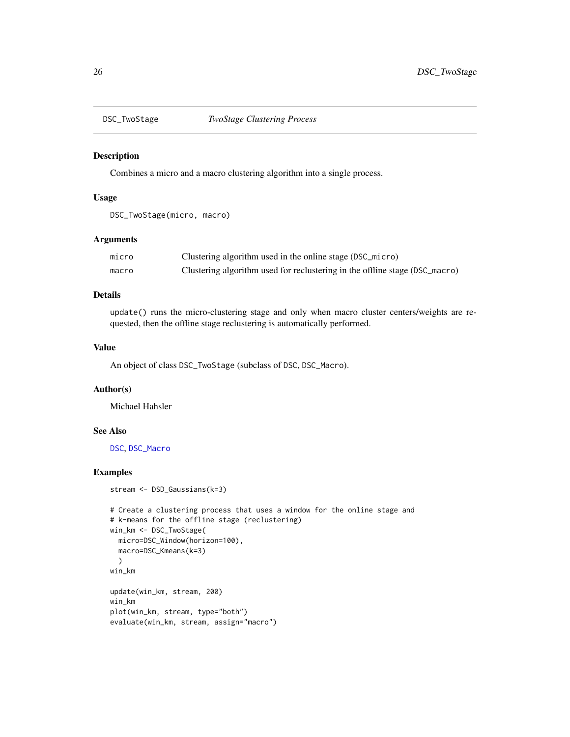<span id="page-25-0"></span>

Combines a micro and a macro clustering algorithm into a single process.

# Usage

```
DSC_TwoStage(micro, macro)
```
#### Arguments

| micro | Clustering algorithm used in the online stage (DSC_micro)                   |
|-------|-----------------------------------------------------------------------------|
| macro | Clustering algorithm used for reclustering in the offline stage (DSC_macro) |

# Details

update() runs the micro-clustering stage and only when macro cluster centers/weights are requested, then the offline stage reclustering is automatically performed.

# Value

An object of class DSC\_TwoStage (subclass of DSC, DSC\_Macro).

# Author(s)

Michael Hahsler

# See Also

[DSC](#page-3-1), [DSC\\_Macro](#page-19-1)

```
stream <- DSD_Gaussians(k=3)
```

```
# Create a clustering process that uses a window for the online stage and
# k-means for the offline stage (reclustering)
win_km <- DSC_TwoStage(
  micro=DSC_Window(horizon=100),
  macro=DSC_Kmeans(k=3)
  )
win_km
update(win_km, stream, 200)
win_km
plot(win_km, stream, type="both")
evaluate(win_km, stream, assign="macro")
```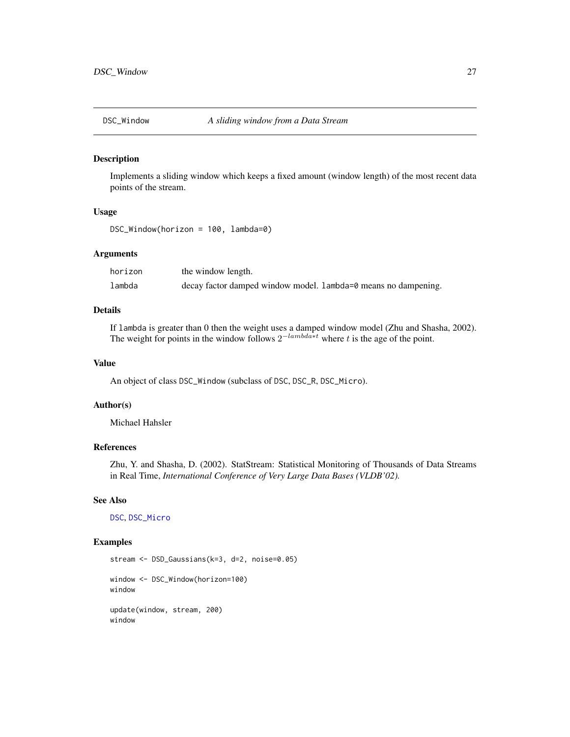<span id="page-26-0"></span>

Implements a sliding window which keeps a fixed amount (window length) of the most recent data points of the stream.

#### Usage

DSC\_Window(horizon = 100, lambda=0)

# Arguments

| horizon | the window length.                                             |
|---------|----------------------------------------------------------------|
| lambda  | decay factor damped window model. Lambda=0 means no dampening. |

# Details

If lambda is greater than 0 then the weight uses a damped window model (Zhu and Shasha, 2002). The weight for points in the window follows  $2^{-lambda*t}$  where t is the age of the point.

# Value

An object of class DSC\_Window (subclass of DSC, DSC\_R, DSC\_Micro).

#### Author(s)

Michael Hahsler

# References

Zhu, Y. and Shasha, D. (2002). StatStream: Statistical Monitoring of Thousands of Data Streams in Real Time, *International Conference of Very Large Data Bases (VLDB'02).*

#### See Also

[DSC](#page-3-1), [DSC\\_Micro](#page-20-1)

# Examples

stream <- DSD\_Gaussians(k=3, d=2, noise=0.05) window <- DSC\_Window(horizon=100) window update(window, stream, 200) window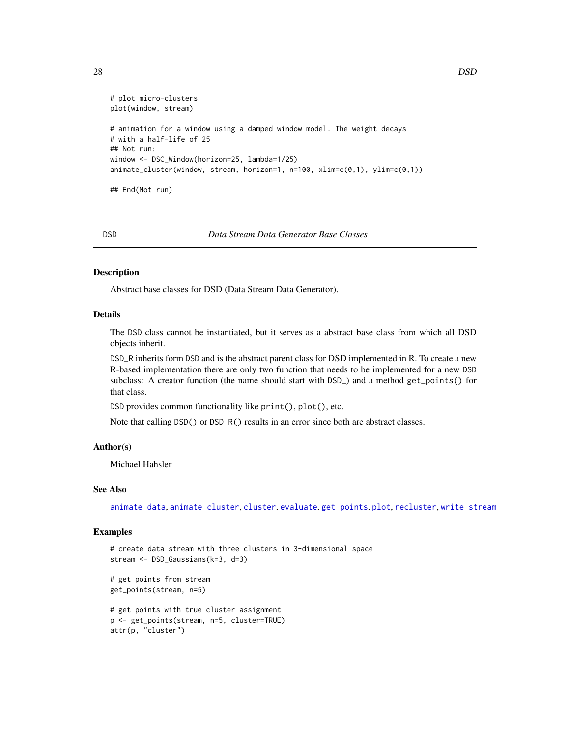```
# plot micro-clusters
plot(window, stream)
# animation for a window using a damped window model. The weight decays
# with a half-life of 25
## Not run:
window <- DSC_Window(horizon=25, lambda=1/25)
animate_cluster(window, stream, horizon=1, n=100, xlim=c(0,1), ylim=c(0,1))
## End(Not run)
```
<span id="page-27-1"></span>DSD *Data Stream Data Generator Base Classes*

#### Description

Abstract base classes for DSD (Data Stream Data Generator).

# Details

The DSD class cannot be instantiated, but it serves as a abstract base class from which all DSD objects inherit.

DSD\_R inherits form DSD and is the abstract parent class for DSD implemented in R. To create a new R-based implementation there are only two function that needs to be implemented for a new DSD subclass: A creator function (the name should start with DSD\_) and a method get\_points() for that class.

DSD provides common functionality like print(), plot(), etc.

Note that calling DSD() or DSD\_R() results in an error since both are abstract classes.

#### Author(s)

Michael Hahsler

# See Also

[animate\\_data](#page-2-1), [animate\\_cluster](#page-2-1), [cluster](#page-0-0), [evaluate](#page-48-2), [get\\_points](#page-55-1), [plot](#page-62-1), [recluster](#page-64-1), [write\\_stream](#page-68-1)

# Examples

```
# create data stream with three clusters in 3-dimensional space
stream <- DSD_Gaussians(k=3, d=3)
```
# get points from stream get\_points(stream, n=5)

```
# get points with true cluster assignment
p <- get_points(stream, n=5, cluster=TRUE)
attr(p, "cluster")
```
<span id="page-27-0"></span>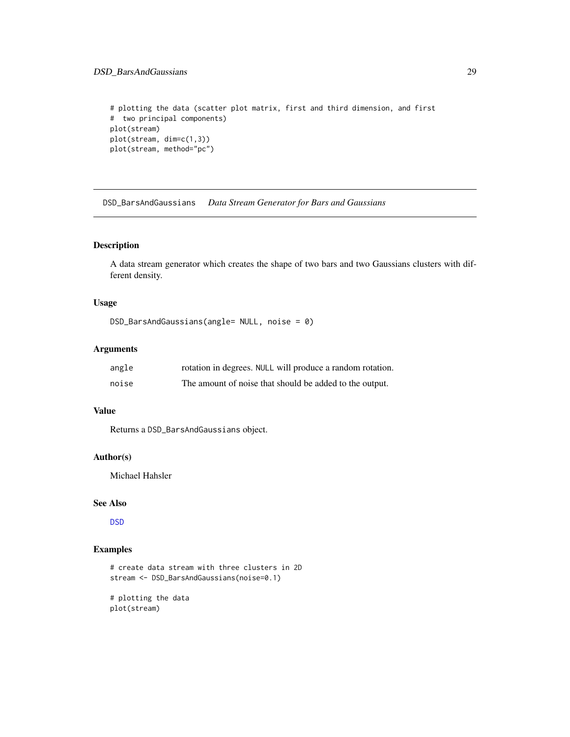# <span id="page-28-0"></span>DSD\_BarsAndGaussians 29

```
# plotting the data (scatter plot matrix, first and third dimension, and first
# two principal components)
plot(stream)
plot(stream, dim=c(1,3))
plot(stream, method="pc")
```
DSD\_BarsAndGaussians *Data Stream Generator for Bars and Gaussians*

# Description

A data stream generator which creates the shape of two bars and two Gaussians clusters with different density.

# Usage

```
DSD_BarsAndGaussians(angle= NULL, noise = 0)
```
# Arguments

| angle | rotation in degrees. NULL will produce a random rotation. |
|-------|-----------------------------------------------------------|
| noise | The amount of noise that should be added to the output.   |

# Value

Returns a DSD\_BarsAndGaussians object.

# Author(s)

Michael Hahsler

#### See Also

[DSD](#page-27-1)

# Examples

```
# create data stream with three clusters in 2D
stream <- DSD_BarsAndGaussians(noise=0.1)
```
# plotting the data plot(stream)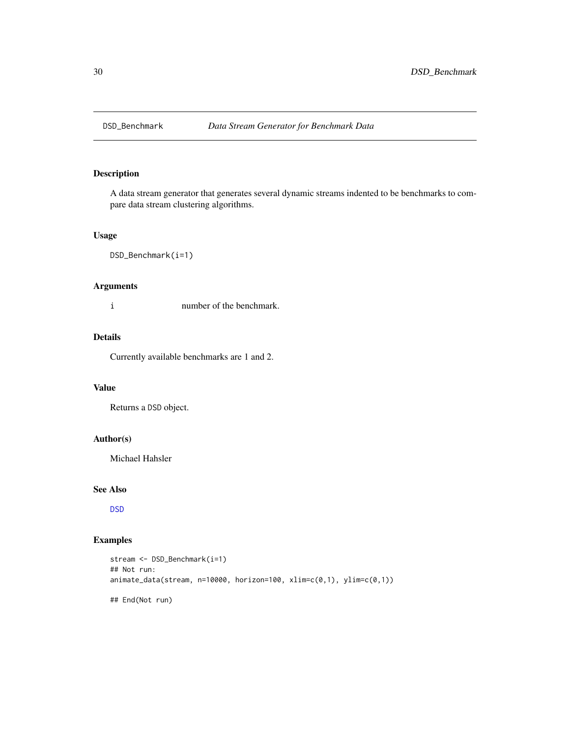<span id="page-29-0"></span>

A data stream generator that generates several dynamic streams indented to be benchmarks to compare data stream clustering algorithms.

# Usage

DSD\_Benchmark(i=1)

# Arguments

i number of the benchmark.

# Details

Currently available benchmarks are 1 and 2.

#### Value

Returns a DSD object.

# Author(s)

Michael Hahsler

# See Also

[DSD](#page-27-1)

```
stream <- DSD_Benchmark(i=1)
## Not run:
animate_data(stream, n=10000, horizon=100, xlim=c(0,1), ylim=c(0,1))
## End(Not run)
```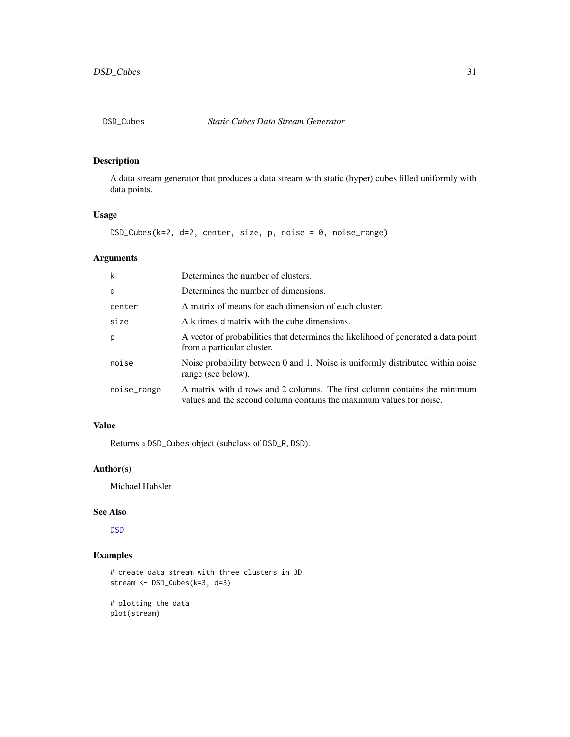<span id="page-30-0"></span>A data stream generator that produces a data stream with static (hyper) cubes filled uniformly with data points.

# Usage

DSD\_Cubes(k=2, d=2, center, size, p, noise = 0, noise\_range)

# Arguments

| $\mathsf{k}$ | Determines the number of clusters.                                                                                                               |
|--------------|--------------------------------------------------------------------------------------------------------------------------------------------------|
| d            | Determines the number of dimensions.                                                                                                             |
| center       | A matrix of means for each dimension of each cluster.                                                                                            |
| size         | A k times d matrix with the cube dimensions.                                                                                                     |
| p            | A vector of probabilities that determines the likelihood of generated a data point<br>from a particular cluster.                                 |
| noise        | Noise probability between 0 and 1. Noise is uniformly distributed within noise<br>range (see below).                                             |
| noise_range  | A matrix with d rows and 2 columns. The first column contains the minimum<br>values and the second column contains the maximum values for noise. |

# Value

Returns a DSD\_Cubes object (subclass of DSD\_R, DSD).

# Author(s)

Michael Hahsler

# See Also

[DSD](#page-27-1)

# Examples

```
# create data stream with three clusters in 3D
stream <- DSD_Cubes(k=3, d=3)
```
# plotting the data plot(stream)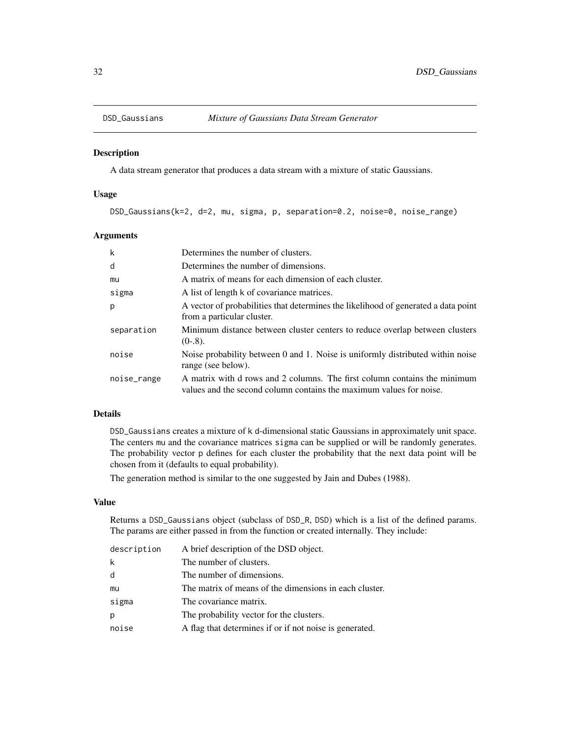<span id="page-31-0"></span>

A data stream generator that produces a data stream with a mixture of static Gaussians.

# Usage

DSD\_Gaussians(k=2, d=2, mu, sigma, p, separation=0.2, noise=0, noise\_range)

# Arguments

| k           | Determines the number of clusters.                                                                                                               |
|-------------|--------------------------------------------------------------------------------------------------------------------------------------------------|
| d           | Determines the number of dimensions.                                                                                                             |
| mu          | A matrix of means for each dimension of each cluster.                                                                                            |
| sigma       | A list of length k of covariance matrices.                                                                                                       |
| p           | A vector of probabilities that determines the likelihood of generated a data point<br>from a particular cluster.                                 |
| separation  | Minimum distance between cluster centers to reduce overlap between clusters<br>$(0-8)$ .                                                         |
| noise       | Noise probability between 0 and 1. Noise is uniformly distributed within noise<br>range (see below).                                             |
| noise_range | A matrix with d rows and 2 columns. The first column contains the minimum<br>values and the second column contains the maximum values for noise. |

# Details

DSD\_Gaussians creates a mixture of k d-dimensional static Gaussians in approximately unit space. The centers mu and the covariance matrices sigma can be supplied or will be randomly generates. The probability vector p defines for each cluster the probability that the next data point will be chosen from it (defaults to equal probability).

The generation method is similar to the one suggested by Jain and Dubes (1988).

# Value

Returns a DSD\_Gaussians object (subclass of DSD\_R, DSD) which is a list of the defined params. The params are either passed in from the function or created internally. They include:

| description | A brief description of the DSD object.                  |
|-------------|---------------------------------------------------------|
| k           | The number of clusters.                                 |
| d           | The number of dimensions.                               |
| mu          | The matrix of means of the dimensions in each cluster.  |
| sigma       | The covariance matrix.                                  |
| p           | The probability vector for the clusters.                |
| noise       | A flag that determines if or if not noise is generated. |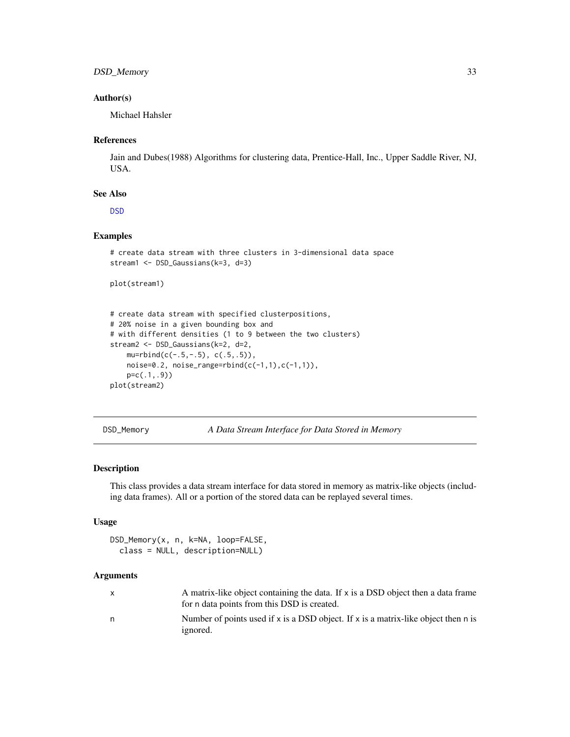# <span id="page-32-0"></span>DSD\_Memory 33

# Author(s)

Michael Hahsler

# References

Jain and Dubes(1988) Algorithms for clustering data, Prentice-Hall, Inc., Upper Saddle River, NJ, USA.

# See Also

[DSD](#page-27-1)

# Examples

```
# create data stream with three clusters in 3-dimensional data space
stream1 <- DSD_Gaussians(k=3, d=3)
```

```
plot(stream1)
```

```
# create data stream with specified clusterpositions,
# 20% noise in a given bounding box and
# with different densities (1 to 9 between the two clusters)
stream2 <- DSD_Gaussians(k=2, d=2,
   mu=rbind(c(-.5,-.5), c(.5,.5)),noise=0.2, noise_range=rbind(c(-1,1),c(-1,1)),
   p=c(.1,.9))
plot(stream2)
```
DSD\_Memory *A Data Stream Interface for Data Stored in Memory*

# Description

This class provides a data stream interface for data stored in memory as matrix-like objects (including data frames). All or a portion of the stored data can be replayed several times.

# Usage

```
DSD_Memory(x, n, k=NA, loop=FALSE,
  class = NULL, description=NULL)
```
# Arguments

| $\mathsf{x}$ | A matrix-like object containing the data. If x is a DSD object then a data frame   |
|--------------|------------------------------------------------------------------------------------|
|              | for n data points from this DSD is created.                                        |
| n            | Number of points used if x is a DSD object. If x is a matrix-like object then n is |
|              | <i>ignored.</i>                                                                    |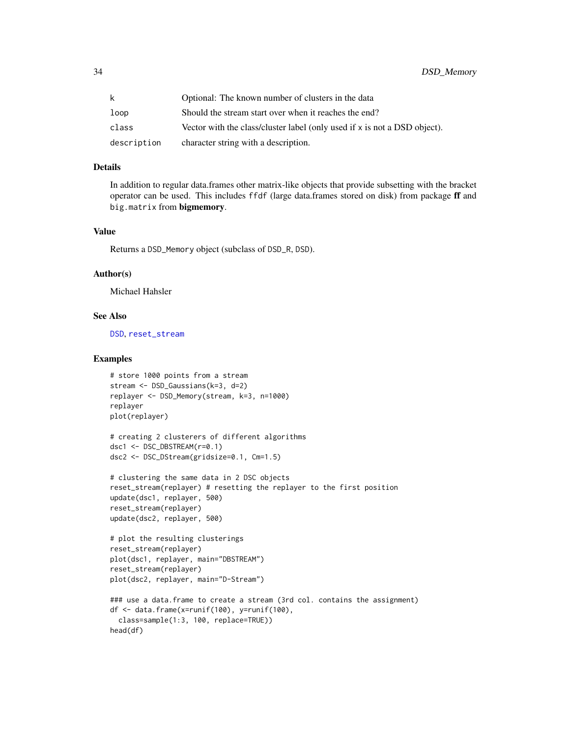| k.          | Optional: The known number of clusters in the data                        |
|-------------|---------------------------------------------------------------------------|
| loop        | Should the stream start over when it reaches the end?                     |
| class       | Vector with the class/cluster label (only used if x is not a DSD object). |
| description | character string with a description.                                      |

#### Details

In addition to regular data.frames other matrix-like objects that provide subsetting with the bracket operator can be used. This includes ffdf (large data.frames stored on disk) from package ff and big.matrix from bigmemory.

#### Value

Returns a DSD\_Memory object (subclass of DSD\_R, DSD).

#### Author(s)

Michael Hahsler

#### See Also

[DSD](#page-27-1), [reset\\_stream](#page-65-1)

```
# store 1000 points from a stream
stream <- DSD_Gaussians(k=3, d=2)
replayer <- DSD_Memory(stream, k=3, n=1000)
replayer
plot(replayer)
```

```
# creating 2 clusterers of different algorithms
dsc1 <- DSC_DBSTREAM(r=0.1)
dsc2 <- DSC_DStream(gridsize=0.1, Cm=1.5)
```

```
# clustering the same data in 2 DSC objects
reset_stream(replayer) # resetting the replayer to the first position
update(dsc1, replayer, 500)
reset_stream(replayer)
update(dsc2, replayer, 500)
```

```
# plot the resulting clusterings
reset_stream(replayer)
plot(dsc1, replayer, main="DBSTREAM")
reset_stream(replayer)
plot(dsc2, replayer, main="D-Stream")
```

```
### use a data.frame to create a stream (3rd col. contains the assignment)
df <- data.frame(x=runif(100), y=runif(100),
 class=sample(1:3, 100, replace=TRUE))
head(df)
```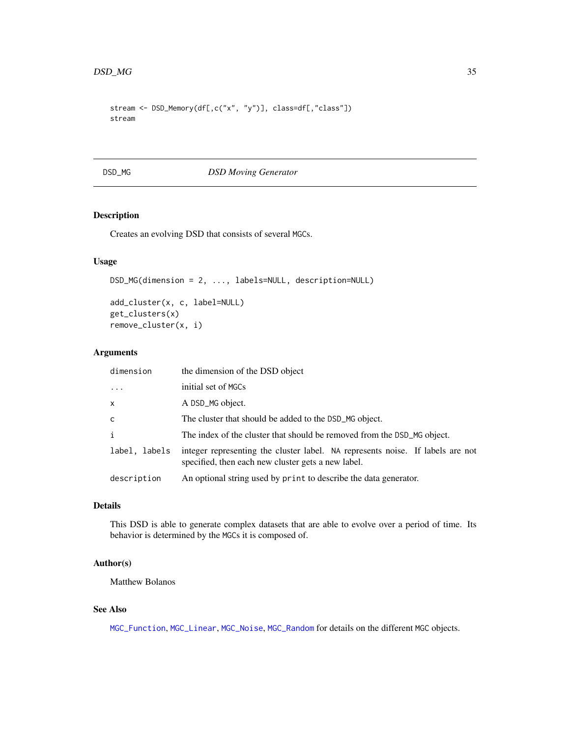```
stream <- DSD_Memory(df[,c("x", "y")], class=df[,"class"])
stream
```
DSD\_MG *DSD Moving Generator*

# Description

Creates an evolving DSD that consists of several MGCs.

# Usage

```
DSD_MG(dimension = 2, ..., labels=NULL, description=NULL)
```

```
add_cluster(x, c, label=NULL)
get_clusters(x)
remove_cluster(x, i)
```
# Arguments

| dimension     | the dimension of the DSD object                                                                                                      |
|---------------|--------------------------------------------------------------------------------------------------------------------------------------|
| $\cdots$      | initial set of MGCs                                                                                                                  |
| $\mathsf{x}$  | A DSD_MG object.                                                                                                                     |
| $\mathsf{C}$  | The cluster that should be added to the DSD_MG object.                                                                               |
| $\mathbf{i}$  | The index of the cluster that should be removed from the DSD_MG object.                                                              |
| label, labels | integer representing the cluster label. NA represents noise. If labels are not<br>specified, then each new cluster gets a new label. |
| description   | An optional string used by print to describe the data generator.                                                                     |

# Details

This DSD is able to generate complex datasets that are able to evolve over a period of time. Its behavior is determined by the MGCs it is composed of.

# Author(s)

Matthew Bolanos

# See Also

[MGC\\_Function](#page-57-1), [MGC\\_Linear](#page-57-1), [MGC\\_Noise](#page-57-1), [MGC\\_Random](#page-57-1) for details on the different MGC objects.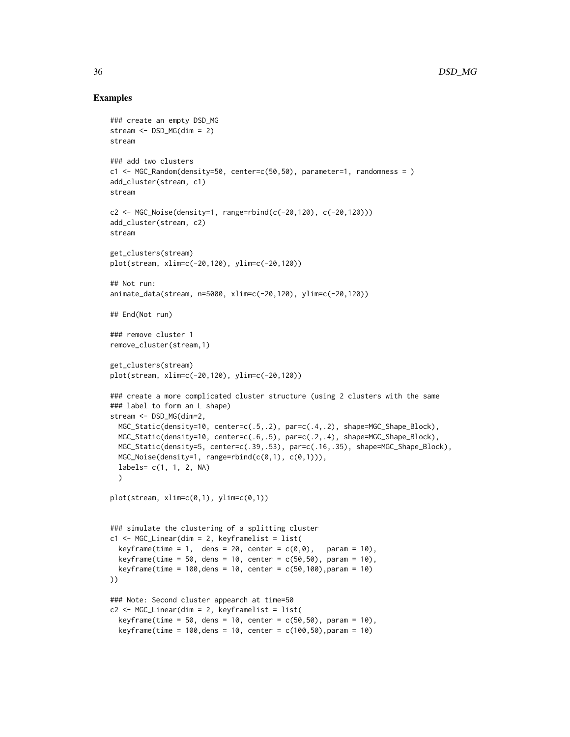```
### create an empty DSD_MG
stream <- DSD_MG(dim = 2)
stream
### add two clusters
c1 <- MGC_Random(density=50, center=c(50,50), parameter=1, randomness = )
add_cluster(stream, c1)
stream
c2 <- MGC_Noise(density=1, range=rbind(c(-20,120), c(-20,120)))
add_cluster(stream, c2)
stream
get_clusters(stream)
plot(stream, xlim=c(-20,120), ylim=c(-20,120))
## Not run:
animate_data(stream, n=5000, xlim=c(-20,120), ylim=c(-20,120))
## End(Not run)
### remove cluster 1
remove_cluster(stream,1)
get_clusters(stream)
plot(stream, xlim=c(-20,120), ylim=c(-20,120))
### create a more complicated cluster structure (using 2 clusters with the same
### label to form an L shape)
stream <- DSD_MG(dim=2,
  MGC_Static(density=10, center=c(.5,.2), par=c(.4,.2), shape=MGC_Shape_Block),
  MGC_Static(density=10, center=c(.6,.5), par=c(.2,.4), shape=MGC_Shape_Block),
  MGC_Static(density=5, center=c(.39,.53), par=c(.16,.35), shape=MGC_Shape_Block),
  MGC\_Noise(density=1, range=rbind(c(0,1), c(0,1))),
  labels= c(1, 1, 2, NA)
  )
plot(stream, xlim=c(0,1), ylim=c(0,1))
### simulate the clustering of a splitting cluster
c1 <- MGC_Linear(dim = 2, keyframelist = list(
  keyframe(time = 1, dens = 20, center = c(0,0), param = 10),
  keyframe(time = 50, dens = 10, center = c(50,50), param = 10,keyframe(time = 100,dens = 10, center = c(50,100),param = 10)
))
### Note: Second cluster appearch at time=50
c2 \leq MGC_Linear(dim = 2, keyframelist = list(
  keyframe(time = 50, dens = 10, center = c(50,50), param = 10),
  keyframe(time = 100,dens = 10, center = c(100,50),param = 10)
```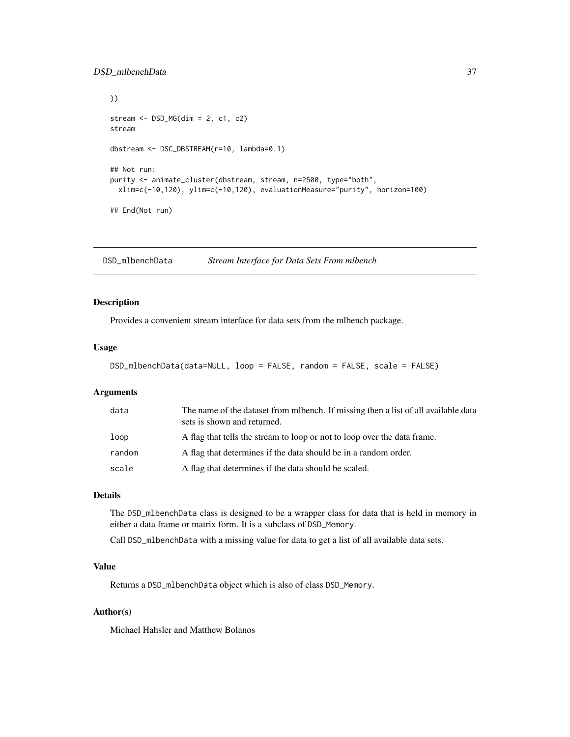```
))
stream <- DSD_MG(dim = 2, c1, c2)
stream
dbstream <- DSC_DBSTREAM(r=10, lambda=0.1)
## Not run:
purity <- animate_cluster(dbstream, stream, n=2500, type="both",
  xlim=c(-10,120), ylim=c(-10,120), evaluationMeasure="purity", horizon=100)
## End(Not run)
```
DSD\_mlbenchData *Stream Interface for Data Sets From mlbench*

# Description

Provides a convenient stream interface for data sets from the mlbench package.

# Usage

```
DSD_mlbenchData(data=NULL, loop = FALSE, random = FALSE, scale = FALSE)
```
#### Arguments

| data   | The name of the dataset from mibench. If missing then a list of all available data<br>sets is shown and returned. |
|--------|-------------------------------------------------------------------------------------------------------------------|
| loop   | A flag that tells the stream to loop or not to loop over the data frame.                                          |
| random | A flag that determines if the data should be in a random order.                                                   |
| scale  | A flag that determines if the data should be scaled.                                                              |

## Details

The DSD\_mlbenchData class is designed to be a wrapper class for data that is held in memory in either a data frame or matrix form. It is a subclass of DSD\_Memory.

Call DSD\_mlbenchData with a missing value for data to get a list of all available data sets.

#### Value

Returns a DSD\_mlbenchData object which is also of class DSD\_Memory.

# Author(s)

Michael Hahsler and Matthew Bolanos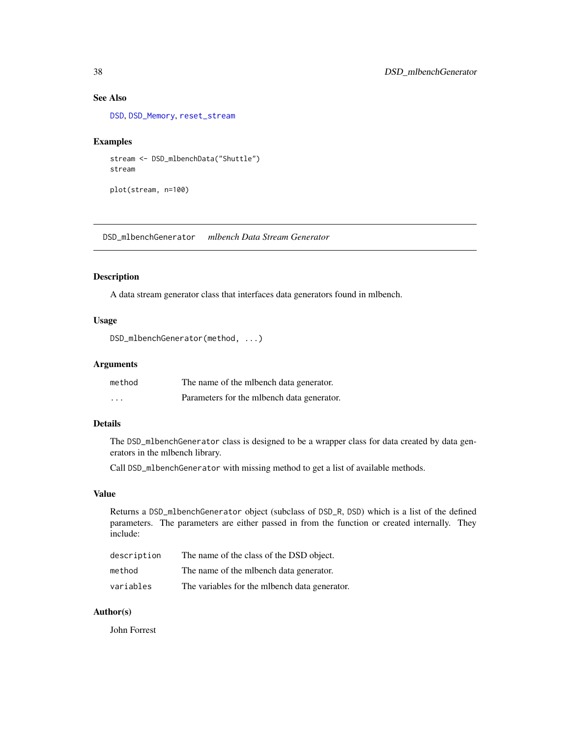# See Also

[DSD](#page-27-0), [DSD\\_Memory](#page-32-0), [reset\\_stream](#page-65-0)

## Examples

```
stream <- DSD_mlbenchData("Shuttle")
stream
plot(stream, n=100)
```
DSD\_mlbenchGenerator *mlbench Data Stream Generator*

# Description

A data stream generator class that interfaces data generators found in mlbench.

#### Usage

```
DSD_mlbenchGenerator(method, ...)
```
# Arguments

| method               | The name of the milber the data generator.   |
|----------------------|----------------------------------------------|
| $\ddot{\phantom{0}}$ | Parameters for the milberich data generator. |

# Details

The DSD\_mlbenchGenerator class is designed to be a wrapper class for data created by data generators in the mlbench library.

Call DSD\_mlbenchGenerator with missing method to get a list of available methods.

# Value

Returns a DSD\_mlbenchGenerator object (subclass of DSD\_R, DSD) which is a list of the defined parameters. The parameters are either passed in from the function or created internally. They include:

| description | The name of the class of the DSD object.         |
|-------------|--------------------------------------------------|
| method      | The name of the milbench data generator.         |
| variables   | The variables for the milteriangleria generator. |

# Author(s)

John Forrest

<span id="page-37-0"></span>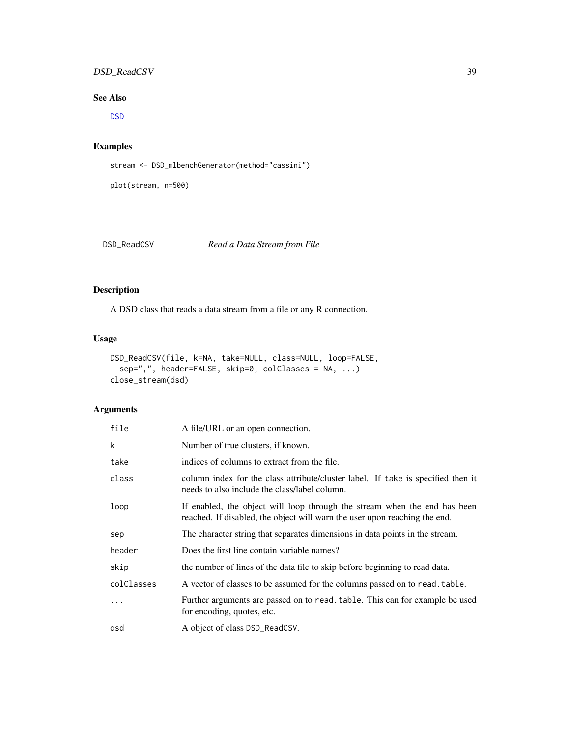# <span id="page-38-1"></span>DSD\_ReadCSV 39

# See Also

[DSD](#page-27-0)

# Examples

stream <- DSD\_mlbenchGenerator(method="cassini")

plot(stream, n=500)

# <span id="page-38-0"></span>DSD\_ReadCSV *Read a Data Stream from File*

# Description

A DSD class that reads a data stream from a file or any R connection.

# Usage

```
DSD_ReadCSV(file, k=NA, take=NULL, class=NULL, loop=FALSE,
  sep=",", header=FALSE, skip=0, colClasses = NA, ...)
close_stream(dsd)
```
# Arguments

| file       | A file/URL or an open connection.                                                                                                                       |
|------------|---------------------------------------------------------------------------------------------------------------------------------------------------------|
| k          | Number of true clusters, if known.                                                                                                                      |
| take       | indices of columns to extract from the file.                                                                                                            |
| class      | column index for the class attribute/cluster label. If take is specified then it<br>needs to also include the class/label column.                       |
| loop       | If enabled, the object will loop through the stream when the end has been<br>reached. If disabled, the object will warn the user upon reaching the end. |
| sep        | The character string that separates dimensions in data points in the stream.                                                                            |
| header     | Does the first line contain variable names?                                                                                                             |
| skip       | the number of lines of the data file to skip before beginning to read data.                                                                             |
| colClasses | A vector of classes to be assumed for the columns passed on to read. table.                                                                             |
| $\ddotsc$  | Further arguments are passed on to read, table. This can for example be used<br>for encoding, quotes, etc.                                              |
| dsd        | A object of class DSD_ReadCSV.                                                                                                                          |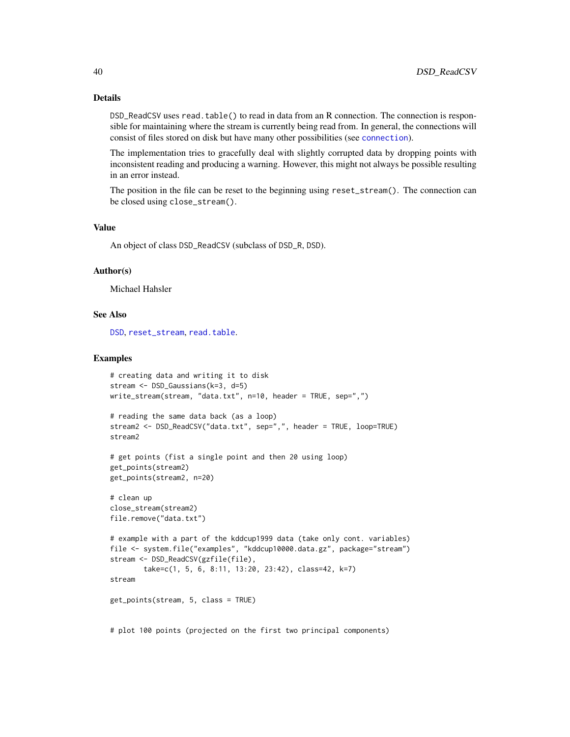#### Details

DSD\_ReadCSV uses read.table() to read in data from an R connection. The connection is responsible for maintaining where the stream is currently being read from. In general, the connections will consist of files stored on disk but have many other possibilities (see [connection](#page-0-0)).

The implementation tries to gracefully deal with slightly corrupted data by dropping points with inconsistent reading and producing a warning. However, this might not always be possible resulting in an error instead.

The position in the file can be reset to the beginning using reset\_stream(). The connection can be closed using close\_stream().

#### Value

An object of class DSD\_ReadCSV (subclass of DSD\_R, DSD).

#### Author(s)

Michael Hahsler

#### See Also

[DSD](#page-27-0), [reset\\_stream](#page-65-0), [read.table](#page-0-0).

#### Examples

```
# creating data and writing it to disk
stream <- DSD_Gaussians(k=3, d=5)
write_stream(stream, "data.txt", n=10, header = TRUE, sep=",")
# reading the same data back (as a loop)
stream2 <- DSD_ReadCSV("data.txt", sep=",", header = TRUE, loop=TRUE)
stream2
# get points (fist a single point and then 20 using loop)
get_points(stream2)
get_points(stream2, n=20)
# clean up
close_stream(stream2)
file.remove("data.txt")
# example with a part of the kddcup1999 data (take only cont. variables)
file <- system.file("examples", "kddcup10000.data.gz", package="stream")
stream <- DSD_ReadCSV(gzfile(file),
        take=c(1, 5, 6, 8:11, 13:20, 23:42), class=42, k=7)
stream
get_points(stream, 5, class = TRUE)
# plot 100 points (projected on the first two principal components)
```
<span id="page-39-0"></span>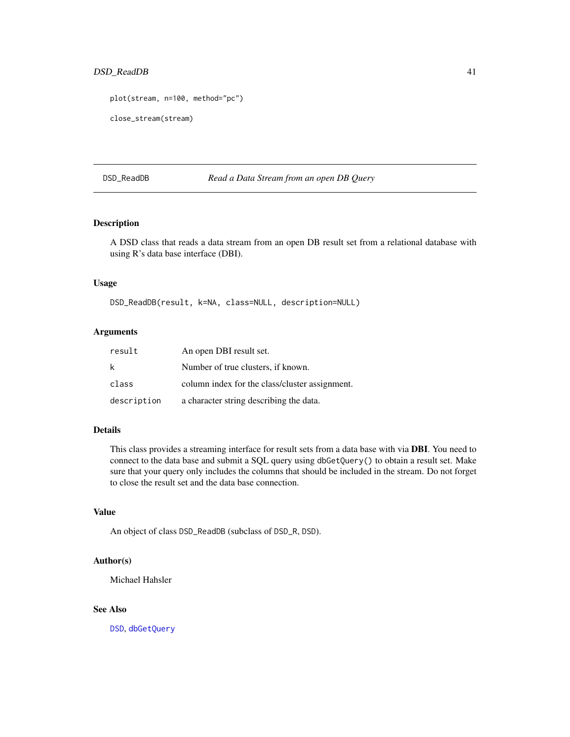# <span id="page-40-0"></span>DSD\_ReadDB 41

```
plot(stream, n=100, method="pc")
close_stream(stream)
```
#### DSD\_ReadDB *Read a Data Stream from an open DB Query*

# Description

A DSD class that reads a data stream from an open DB result set from a relational database with using R's data base interface (DBI).

# Usage

DSD\_ReadDB(result, k=NA, class=NULL, description=NULL)

# Arguments

| result      | An open DBI result set.                        |
|-------------|------------------------------------------------|
| k           | Number of true clusters, if known.             |
| class       | column index for the class/cluster assignment. |
| description | a character string describing the data.        |

# Details

This class provides a streaming interface for result sets from a data base with via DBI. You need to connect to the data base and submit a SQL query using dbGetQuery() to obtain a result set. Make sure that your query only includes the columns that should be included in the stream. Do not forget to close the result set and the data base connection.

# Value

An object of class DSD\_ReadDB (subclass of DSD\_R, DSD).

#### Author(s)

Michael Hahsler

# See Also

[DSD](#page-27-0), [dbGetQuery](#page-0-0)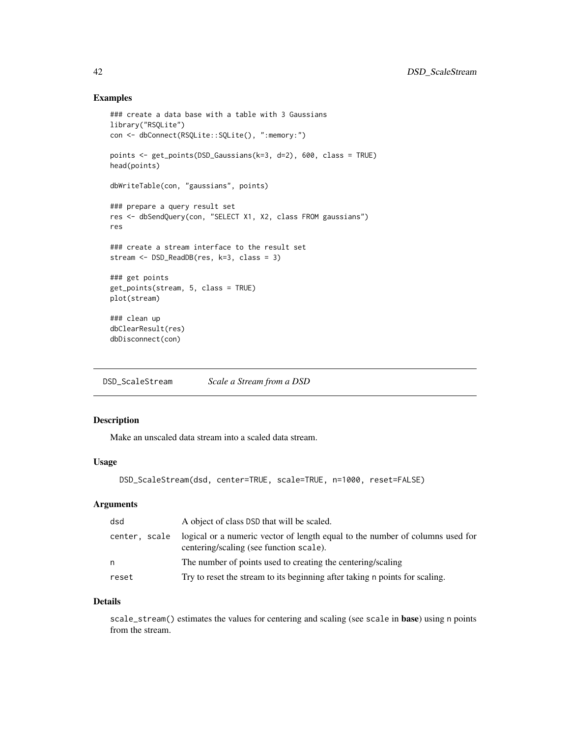## Examples

```
### create a data base with a table with 3 Gaussians
library("RSQLite")
con <- dbConnect(RSQLite::SQLite(), ":memory:")
points <- get_points(DSD_Gaussians(k=3, d=2), 600, class = TRUE)
head(points)
dbWriteTable(con, "gaussians", points)
### prepare a query result set
res <- dbSendQuery(con, "SELECT X1, X2, class FROM gaussians")
res
### create a stream interface to the result set
stream <- DSD_ReadDB(res, k=3, class = 3)
### get points
get_points(stream, 5, class = TRUE)
plot(stream)
### clean up
dbClearResult(res)
dbDisconnect(con)
```
<span id="page-41-0"></span>DSD\_ScaleStream *Scale a Stream from a DSD*

# Description

Make an unscaled data stream into a scaled data stream.

#### Usage

DSD\_ScaleStream(dsd, center=TRUE, scale=TRUE, n=1000, reset=FALSE)

# Arguments

| dsd           | A object of class DSD that will be scaled.                                                                               |
|---------------|--------------------------------------------------------------------------------------------------------------------------|
| center, scale | logical or a numeric vector of length equal to the number of columns used for<br>centering/scaling (see function scale). |
| n             | The number of points used to creating the centering/scaling                                                              |
| reset         | Try to reset the stream to its beginning after taking n points for scaling.                                              |

# Details

scale\_stream() estimates the values for centering and scaling (see scale in base) using n points from the stream.

<span id="page-41-1"></span>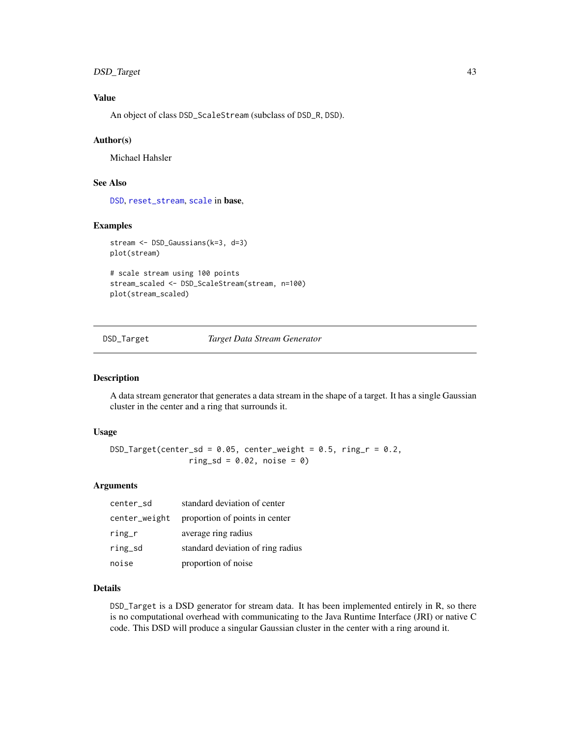# <span id="page-42-0"></span>DSD\_Target 43

# Value

An object of class DSD\_ScaleStream (subclass of DSD\_R, DSD).

#### Author(s)

Michael Hahsler

# See Also

[DSD](#page-27-0), [reset\\_stream](#page-65-0), [scale](#page-0-0) in base,

# Examples

```
stream <- DSD_Gaussians(k=3, d=3)
plot(stream)
```

```
# scale stream using 100 points
stream_scaled <- DSD_ScaleStream(stream, n=100)
plot(stream_scaled)
```
DSD\_Target *Target Data Stream Generator*

# Description

A data stream generator that generates a data stream in the shape of a target. It has a single Gaussian cluster in the center and a ring that surrounds it.

# Usage

```
DSD_Target(center_sd = 0.05, center_weight = 0.5, ring_r = 0.2,ring_s d = 0.02, noise = 0)
```
# Arguments

| center_sd     | standard deviation of center      |
|---------------|-----------------------------------|
| center_weight | proportion of points in center    |
| ring_r        | average ring radius               |
| ring_sd       | standard deviation of ring radius |
| noise         | proportion of noise               |

# Details

DSD\_Target is a DSD generator for stream data. It has been implemented entirely in R, so there is no computational overhead with communicating to the Java Runtime Interface (JRI) or native C code. This DSD will produce a singular Gaussian cluster in the center with a ring around it.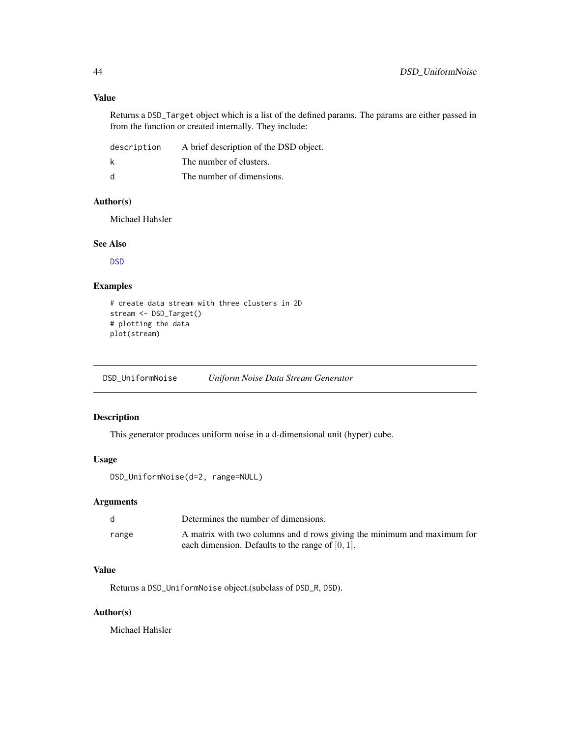# Value

Returns a DSD\_Target object which is a list of the defined params. The params are either passed in from the function or created internally. They include:

| description | A brief description of the DSD object. |
|-------------|----------------------------------------|
|             | The number of clusters.                |
| - d         | The number of dimensions.              |

# Author(s)

Michael Hahsler

# See Also

[DSD](#page-27-0)

# Examples

```
# create data stream with three clusters in 2D
stream <- DSD_Target()
# plotting the data
plot(stream)
```
DSD\_UniformNoise *Uniform Noise Data Stream Generator*

# Description

This generator produces uniform noise in a d-dimensional unit (hyper) cube.

# Usage

DSD\_UniformNoise(d=2, range=NULL)

# Arguments

|       | Determines the number of dimensions.                                                                                           |
|-------|--------------------------------------------------------------------------------------------------------------------------------|
| range | A matrix with two columns and d rows giving the minimum and maximum for<br>each dimension. Defaults to the range of $[0, 1]$ . |

# Value

Returns a DSD\_UniformNoise object.(subclass of DSD\_R, DSD).

# Author(s)

Michael Hahsler

<span id="page-43-0"></span>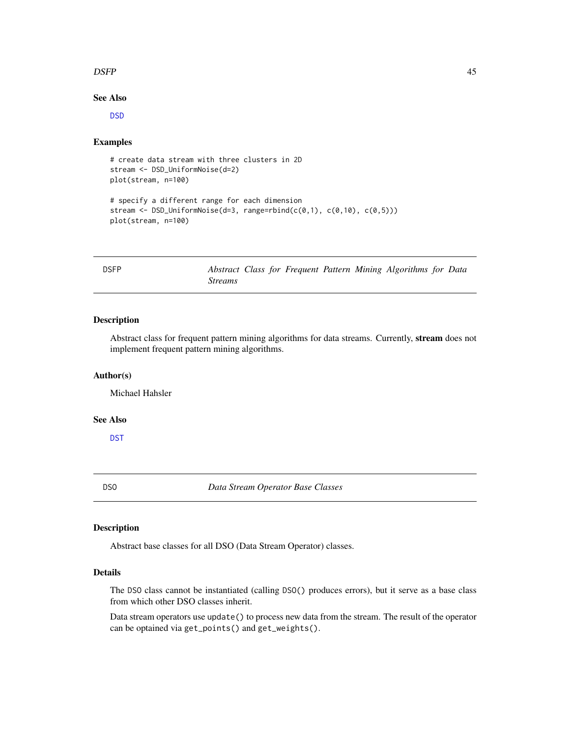#### <span id="page-44-2"></span> $DSFP$  and the contract of the contract of the contract of the contract of the contract of the contract of the contract of the contract of the contract of the contract of the contract of the contract of the contract of the

# See Also

[DSD](#page-27-0)

# Examples

```
# create data stream with three clusters in 2D
stream <- DSD_UniformNoise(d=2)
plot(stream, n=100)
# specify a different range for each dimension
stream <- DSD_UniformNoise(d=3, range=rbind(c(0,1), c(0,10), c(0,5)))
plot(stream, n=100)
```
<span id="page-44-1"></span>DSFP *Abstract Class for Frequent Pattern Mining Algorithms for Data Streams*

# Description

Abstract class for frequent pattern mining algorithms for data streams. Currently, stream does not implement frequent pattern mining algorithms.

#### Author(s)

Michael Hahsler

# See Also

[DST](#page-47-0)

<span id="page-44-0"></span>DSO *Data Stream Operator Base Classes*

#### Description

Abstract base classes for all DSO (Data Stream Operator) classes.

#### Details

The DSO class cannot be instantiated (calling DSO() produces errors), but it serve as a base class from which other DSO classes inherit.

Data stream operators use update() to process new data from the stream. The result of the operator can be optained via get\_points() and get\_weights().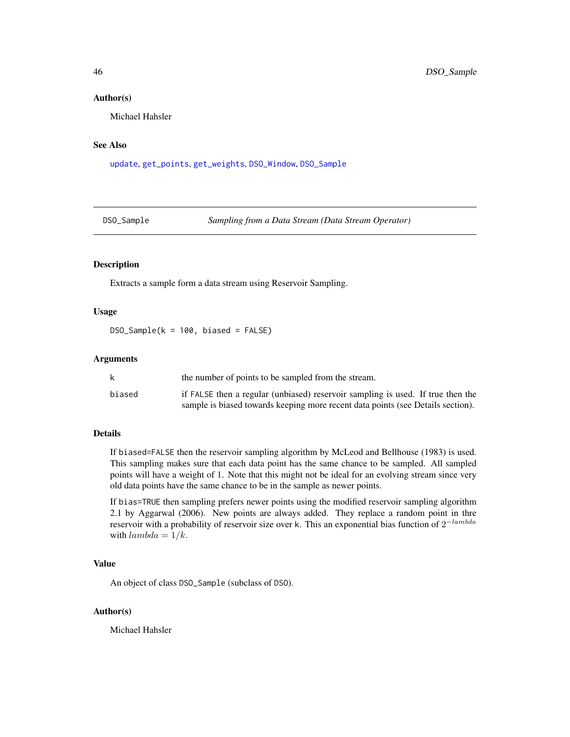#### Author(s)

Michael Hahsler

# See Also

[update](#page-67-0), [get\\_points](#page-55-0), [get\\_weights](#page-56-0), [DSO\\_Window](#page-46-0), [DSO\\_Sample](#page-45-0)

<span id="page-45-0"></span>DSO\_Sample *Sampling from a Data Stream (Data Stream Operator)*

#### Description

Extracts a sample form a data stream using Reservoir Sampling.

# Usage

 $DSO_Sample(k = 100, biased = FALSE)$ 

# **Arguments**

|        | the number of points to be sampled from the stream.                             |
|--------|---------------------------------------------------------------------------------|
| biased | if FALSE then a regular (unbiased) reservoir sampling is used. If true then the |
|        | sample is biased towards keeping more recent data points (see Details section). |

#### Details

If biased=FALSE then the reservoir sampling algorithm by McLeod and Bellhouse (1983) is used. This sampling makes sure that each data point has the same chance to be sampled. All sampled points will have a weight of 1. Note that this might not be ideal for an evolving stream since very old data points have the same chance to be in the sample as newer points.

If bias=TRUE then sampling prefers newer points using the modified reservoir sampling algorithm 2.1 by Aggarwal (2006). New points are always added. They replace a random point in thre reservoir with a probability of reservoir size over k. This an exponential bias function of  $2^{-lambda}$ with  $lambda = 1/k$ .

# Value

An object of class DSO\_Sample (subclass of DSO).

#### Author(s)

Michael Hahsler

<span id="page-45-1"></span>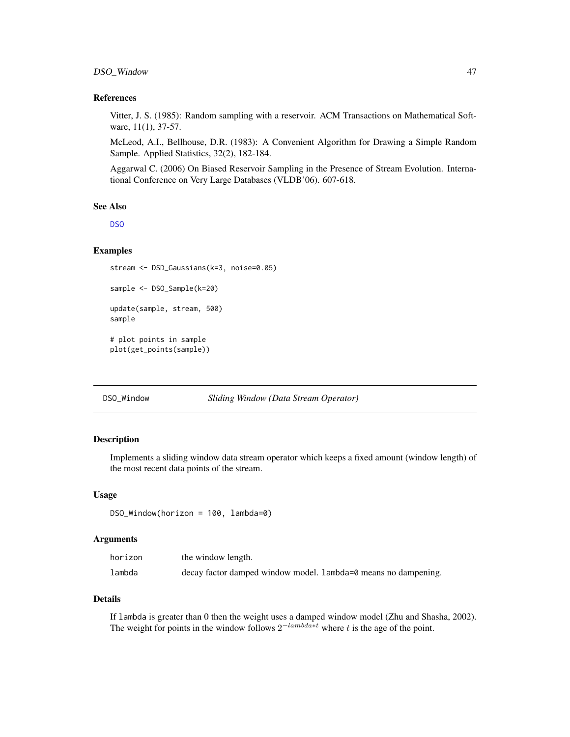# <span id="page-46-1"></span>DSO\_Window 47

#### References

Vitter, J. S. (1985): Random sampling with a reservoir. ACM Transactions on Mathematical Software, 11(1), 37-57.

McLeod, A.I., Bellhouse, D.R. (1983): A Convenient Algorithm for Drawing a Simple Random Sample. Applied Statistics, 32(2), 182-184.

Aggarwal C. (2006) On Biased Reservoir Sampling in the Presence of Stream Evolution. International Conference on Very Large Databases (VLDB'06). 607-618.

#### See Also

D<sub>SO</sub>

# Examples

```
sample <- DSO_Sample(k=20)
update(sample, stream, 500)
sample
# plot points in sample
plot(get_points(sample))
```
stream <- DSD\_Gaussians(k=3, noise=0.05)

<span id="page-46-0"></span>DSO\_Window *Sliding Window (Data Stream Operator)*

# Description

Implements a sliding window data stream operator which keeps a fixed amount (window length) of the most recent data points of the stream.

#### Usage

DSO\_Window(horizon = 100, lambda=0)

#### Arguments

| horizon | the window length.                                             |
|---------|----------------------------------------------------------------|
| lambda  | decay factor damped window model. Lambda=0 means no dampening. |

## Details

If lambda is greater than 0 then the weight uses a damped window model (Zhu and Shasha, 2002). The weight for points in the window follows  $2^{-lambda*t}$  where t is the age of the point.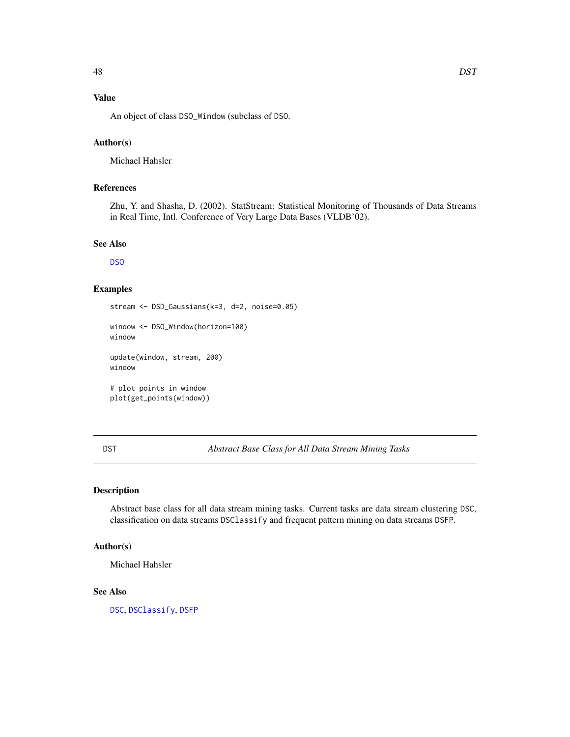# <span id="page-47-1"></span>Value

An object of class DSO\_Window (subclass of DSO.

# Author(s)

Michael Hahsler

# References

Zhu, Y. and Shasha, D. (2002). StatStream: Statistical Monitoring of Thousands of Data Streams in Real Time, Intl. Conference of Very Large Data Bases (VLDB'02).

# See Also

[DSO](#page-44-0)

# Examples

```
stream <- DSD_Gaussians(k=3, d=2, noise=0.05)
window <- DSO_Window(horizon=100)
window
update(window, stream, 200)
window
# plot points in window
```
plot(get\_points(window))

<span id="page-47-0"></span>DST *Abstract Base Class for All Data Stream Mining Tasks*

# Description

Abstract base class for all data stream mining tasks. Current tasks are data stream clustering DSC, classification on data streams DSClassify and frequent pattern mining on data streams DSFP.

# Author(s)

Michael Hahsler

#### See Also

[DSC](#page-3-0), [DSClassify](#page-4-0), [DSFP](#page-44-1)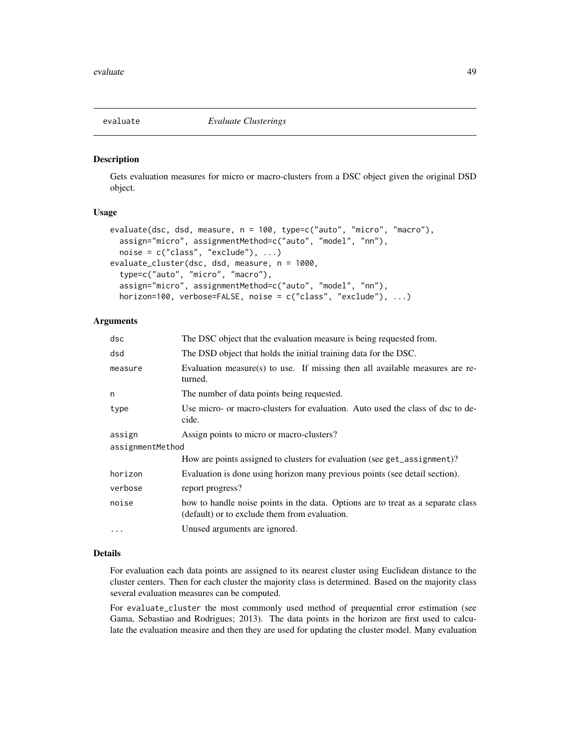<span id="page-48-0"></span>

#### Description

Gets evaluation measures for micro or macro-clusters from a DSC object given the original DSD object.

#### Usage

```
evaluate(dsc, dsd, measure, n = 100, type=c("auto", "micro", "macro"),
  assign="micro", assignmentMethod=c("auto", "model", "nn"),
  noise = c("class", "exclude"), ...evaluate_cluster(dsc, dsd, measure, n = 1000,
 type=c("auto", "micro", "macro"),
  assign="micro", assignmentMethod=c("auto", "model", "nn"),
 horizon=100, verbose=FALSE, noise = c("class", "exclude"), ...)
```
# Arguments

| dsc              | The DSC object that the evaluation measure is being requested from.                                                               |  |
|------------------|-----------------------------------------------------------------------------------------------------------------------------------|--|
| dsd              | The DSD object that holds the initial training data for the DSC.                                                                  |  |
| measure          | Evaluation measure(s) to use. If missing then all available measures are re-<br>turned.                                           |  |
| n                | The number of data points being requested.                                                                                        |  |
| type             | Use micro- or macro-clusters for evaluation. Auto used the class of dsc to de-<br>cide.                                           |  |
| assign           | Assign points to micro or macro-clusters?                                                                                         |  |
| assignmentMethod |                                                                                                                                   |  |
|                  | How are points assigned to clusters for evaluation (see get_assignment)?                                                          |  |
| horizon          | Evaluation is done using horizon many previous points (see detail section).                                                       |  |
| verbose          | report progress?                                                                                                                  |  |
| noise            | how to handle noise points in the data. Options are to treat as a separate class<br>(default) or to exclude them from evaluation. |  |
| $\ddotsc$        | Unused arguments are ignored.                                                                                                     |  |

# Details

For evaluation each data points are assigned to its nearest cluster using Euclidean distance to the cluster centers. Then for each cluster the majority class is determined. Based on the majority class several evaluation measures can be computed.

For evaluate\_cluster the most commonly used method of prequential error estimation (see Gama, Sebastiao and Rodrigues; 2013). The data points in the horizon are first used to calculate the evaluation measire and then they are used for updating the cluster model. Many evaluation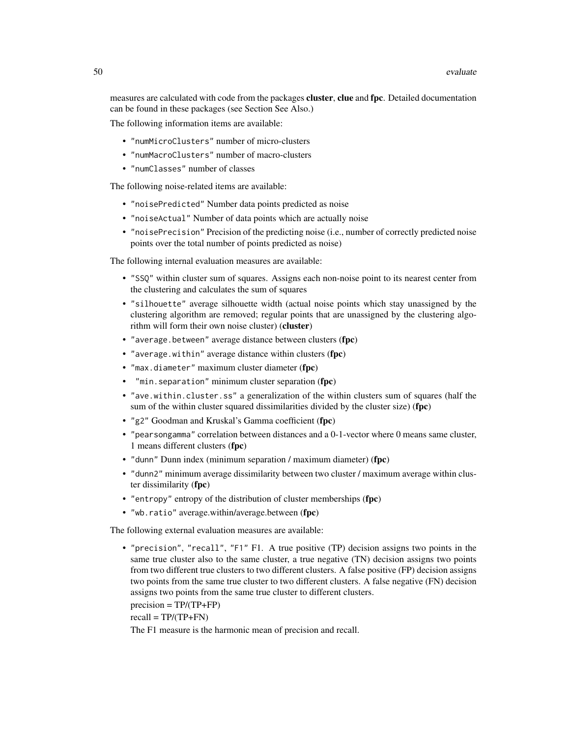measures are calculated with code from the packages **cluster, clue** and fpc. Detailed documentation can be found in these packages (see Section See Also.)

The following information items are available:

- "numMicroClusters" number of micro-clusters
- "numMacroClusters" number of macro-clusters
- "numClasses" number of classes

The following noise-related items are available:

- "noisePredicted" Number data points predicted as noise
- "noiseActual" Number of data points which are actually noise
- "noisePrecision" Precision of the predicting noise (i.e., number of correctly predicted noise points over the total number of points predicted as noise)

The following internal evaluation measures are available:

- "SSQ" within cluster sum of squares. Assigns each non-noise point to its nearest center from the clustering and calculates the sum of squares
- "silhouette" average silhouette width (actual noise points which stay unassigned by the clustering algorithm are removed; regular points that are unassigned by the clustering algorithm will form their own noise cluster) (cluster)
- "average.between" average distance between clusters (fpc)
- "average.within" average distance within clusters (fpc)
- "max.diameter" maximum cluster diameter (fpc)
- "min.separation" minimum cluster separation (fpc)
- "ave.within.cluster.ss" a generalization of the within clusters sum of squares (half the sum of the within cluster squared dissimilarities divided by the cluster size) (fpc)
- "g2" Goodman and Kruskal's Gamma coefficient (fpc)
- "pearsongamma" correlation between distances and a 0-1-vector where 0 means same cluster, 1 means different clusters (fpc)
- "dunn" Dunn index (minimum separation / maximum diameter) (fpc)
- "dunn2" minimum average dissimilarity between two cluster / maximum average within cluster dissimilarity (fpc)
- "entropy" entropy of the distribution of cluster memberships (fpc)
- "wb.ratio" average.within/average.between (fpc)

The following external evaluation measures are available:

• "precision", "recall", "F1" F1. A true positive (TP) decision assigns two points in the same true cluster also to the same cluster, a true negative (TN) decision assigns two points from two different true clusters to two different clusters. A false positive (FP) decision assigns two points from the same true cluster to two different clusters. A false negative (FN) decision assigns two points from the same true cluster to different clusters.

 $precision = TP/(TP+FP)$ 

 $recall = TP/(TP+FN)$ 

The F1 measure is the harmonic mean of precision and recall.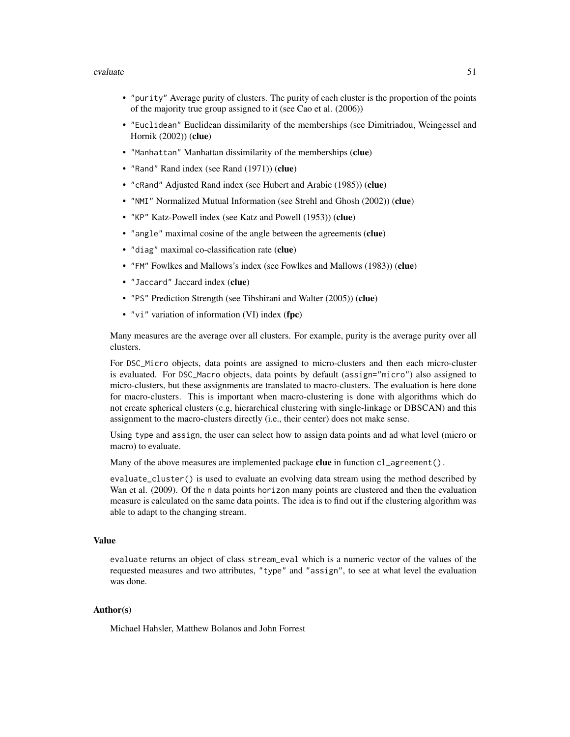#### evaluate 51

- "purity" Average purity of clusters. The purity of each cluster is the proportion of the points of the majority true group assigned to it (see Cao et al. (2006))
- "Euclidean" Euclidean dissimilarity of the memberships (see Dimitriadou, Weingessel and Hornik (2002)) (clue)
- "Manhattan" Manhattan dissimilarity of the memberships (clue)
- "Rand" Rand index (see Rand (1971)) (clue)
- "cRand" Adjusted Rand index (see Hubert and Arabie (1985)) (clue)
- "NMI" Normalized Mutual Information (see Strehl and Ghosh (2002)) (clue)
- "KP" Katz-Powell index (see Katz and Powell (1953)) (clue)
- "angle" maximal cosine of the angle between the agreements (clue)
- "diag" maximal co-classification rate (clue)
- "FM" Fowlkes and Mallows's index (see Fowlkes and Mallows (1983)) (clue)
- "Jaccard" Jaccard index (clue)
- "PS" Prediction Strength (see Tibshirani and Walter (2005)) (clue)
- "vi" variation of information (VI) index (fpc)

Many measures are the average over all clusters. For example, purity is the average purity over all clusters.

For DSC\_Micro objects, data points are assigned to micro-clusters and then each micro-cluster is evaluated. For DSC\_Macro objects, data points by default (assign="micro") also assigned to micro-clusters, but these assignments are translated to macro-clusters. The evaluation is here done for macro-clusters. This is important when macro-clustering is done with algorithms which do not create spherical clusters (e.g, hierarchical clustering with single-linkage or DBSCAN) and this assignment to the macro-clusters directly (i.e., their center) does not make sense.

Using type and assign, the user can select how to assign data points and ad what level (micro or macro) to evaluate.

Many of the above measures are implemented package clue in function  $cl\_agreement()$ .

evaluate\_cluster() is used to evaluate an evolving data stream using the method described by Wan et al. (2009). Of the n data points horizon many points are clustered and then the evaluation measure is calculated on the same data points. The idea is to find out if the clustering algorithm was able to adapt to the changing stream.

#### Value

evaluate returns an object of class stream\_eval which is a numeric vector of the values of the requested measures and two attributes, "type" and "assign", to see at what level the evaluation was done.

#### Author(s)

Michael Hahsler, Matthew Bolanos and John Forrest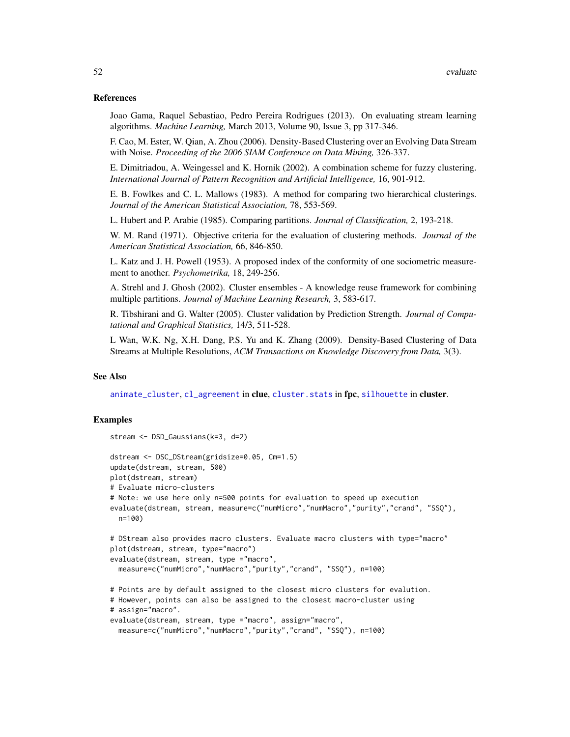#### <span id="page-51-0"></span>References

Joao Gama, Raquel Sebastiao, Pedro Pereira Rodrigues (2013). On evaluating stream learning algorithms. *Machine Learning,* March 2013, Volume 90, Issue 3, pp 317-346.

F. Cao, M. Ester, W. Qian, A. Zhou (2006). Density-Based Clustering over an Evolving Data Stream with Noise. *Proceeding of the 2006 SIAM Conference on Data Mining,* 326-337.

E. Dimitriadou, A. Weingessel and K. Hornik (2002). A combination scheme for fuzzy clustering. *International Journal of Pattern Recognition and Artificial Intelligence,* 16, 901-912.

E. B. Fowlkes and C. L. Mallows (1983). A method for comparing two hierarchical clusterings. *Journal of the American Statistical Association,* 78, 553-569.

L. Hubert and P. Arabie (1985). Comparing partitions. *Journal of Classification,* 2, 193-218.

W. M. Rand (1971). Objective criteria for the evaluation of clustering methods. *Journal of the American Statistical Association,* 66, 846-850.

L. Katz and J. H. Powell (1953). A proposed index of the conformity of one sociometric measurement to another. *Psychometrika,* 18, 249-256.

A. Strehl and J. Ghosh (2002). Cluster ensembles - A knowledge reuse framework for combining multiple partitions. *Journal of Machine Learning Research,* 3, 583-617.

R. Tibshirani and G. Walter (2005). Cluster validation by Prediction Strength. *Journal of Computational and Graphical Statistics,* 14/3, 511-528.

L Wan, W.K. Ng, X.H. Dang, P.S. Yu and K. Zhang (2009). Density-Based Clustering of Data Streams at Multiple Resolutions, *ACM Transactions on Knowledge Discovery from Data,* 3(3).

#### See Also

[animate\\_cluster](#page-2-0), [cl\\_agreement](#page-0-0) in clue, cluster. stats in fpc, [silhouette](#page-0-0) in cluster.

# Examples

```
stream <- DSD_Gaussians(k=3, d=2)
dstream <- DSC_DStream(gridsize=0.05, Cm=1.5)
update(dstream, stream, 500)
plot(dstream, stream)
# Evaluate micro-clusters
# Note: we use here only n=500 points for evaluation to speed up execution
evaluate(dstream, stream, measure=c("numMicro","numMacro","purity","crand", "SSQ"),
 n=100)
# DStream also provides macro clusters. Evaluate macro clusters with type="macro"
plot(dstream, stream, type="macro")
evaluate(dstream, stream, type ="macro",
 measure=c("numMicro","numMacro","purity","crand", "SSQ"), n=100)
# Points are by default assigned to the closest micro clusters for evalution.
# However, points can also be assigned to the closest macro-cluster using
# assign="macro".
evaluate(dstream, stream, type ="macro", assign="macro",
 measure=c("numMicro","numMacro","purity","crand", "SSQ"), n=100)
```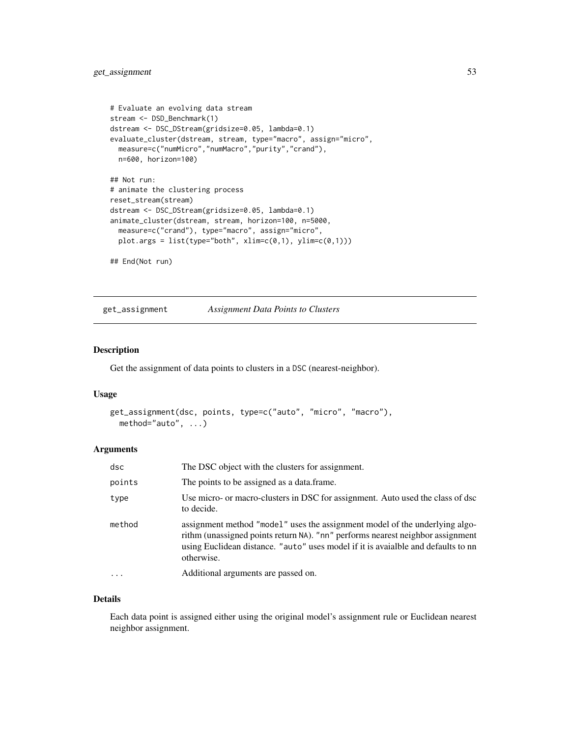```
# Evaluate an evolving data stream
stream <- DSD_Benchmark(1)
dstream <- DSC_DStream(gridsize=0.05, lambda=0.1)
evaluate_cluster(dstream, stream, type="macro", assign="micro",
 measure=c("numMicro","numMacro","purity","crand"),
  n=600, horizon=100)
## Not run:
# animate the clustering process
reset_stream(stream)
dstream <- DSC_DStream(gridsize=0.05, lambda=0.1)
animate_cluster(dstream, stream, horizon=100, n=5000,
  measure=c("crand"), type="macro", assign="micro",
  plot.args = list(type="both", xlim=c(0,1), ylim=c(0,1)))
## End(Not run)
```
get\_assignment *Assignment Data Points to Clusters*

#### Description

Get the assignment of data points to clusters in a DSC (nearest-neighbor).

#### Usage

```
get_assignment(dsc, points, type=c("auto", "micro", "macro"),
 method="auto", ...)
```
# Arguments

| dsc      | The DSC object with the clusters for assignment.                                                                                                                                                                                                                 |  |
|----------|------------------------------------------------------------------------------------------------------------------------------------------------------------------------------------------------------------------------------------------------------------------|--|
| points   | The points to be assigned as a data.frame.                                                                                                                                                                                                                       |  |
| type     | Use micro- or macro-clusters in DSC for assignment. Auto used the class of dsc<br>to decide.                                                                                                                                                                     |  |
| method   | assignment method "model" uses the assignment model of the underlying algo-<br>rithm (unassigned points return NA). "nn" performs nearest neighbor assignment<br>using Euclidean distance. "auto" uses model if it is avaialble and defaults to nn<br>otherwise. |  |
| $\ddots$ | Additional arguments are passed on.                                                                                                                                                                                                                              |  |

## Details

Each data point is assigned either using the original model's assignment rule or Euclidean nearest neighbor assignment.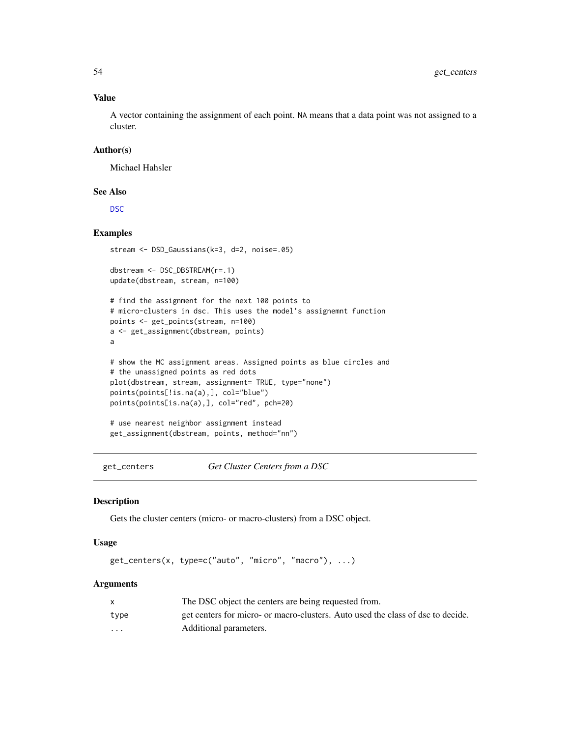#### Value

A vector containing the assignment of each point. NA means that a data point was not assigned to a cluster.

# Author(s)

Michael Hahsler

#### See Also

[DSC](#page-3-0)

# Examples

```
stream <- DSD_Gaussians(k=3, d=2, noise=.05)
dbstream <- DSC_DBSTREAM(r=.1)
update(dbstream, stream, n=100)
# find the assignment for the next 100 points to
# micro-clusters in dsc. This uses the model's assignemnt function
points <- get_points(stream, n=100)
a <- get_assignment(dbstream, points)
a
# show the MC assignment areas. Assigned points as blue circles and
# the unassigned points as red dots
plot(dbstream, stream, assignment= TRUE, type="none")
points(points[!is.na(a),], col="blue")
points(points[is.na(a),], col="red", pch=20)
# use nearest neighbor assignment instead
get_assignment(dbstream, points, method="nn")
```
get\_centers *Get Cluster Centers from a DSC*

#### Description

Gets the cluster centers (micro- or macro-clusters) from a DSC object.

#### Usage

```
get_centers(x, type=c("auto", "micro", "macro"), ...)
```
#### **Arguments**

|                         | The DSC object the centers are being requested from.                            |
|-------------------------|---------------------------------------------------------------------------------|
| type                    | get centers for micro- or macro-clusters. Auto used the class of dsc to decide. |
| $\cdot$ $\cdot$ $\cdot$ | Additional parameters.                                                          |

<span id="page-53-0"></span>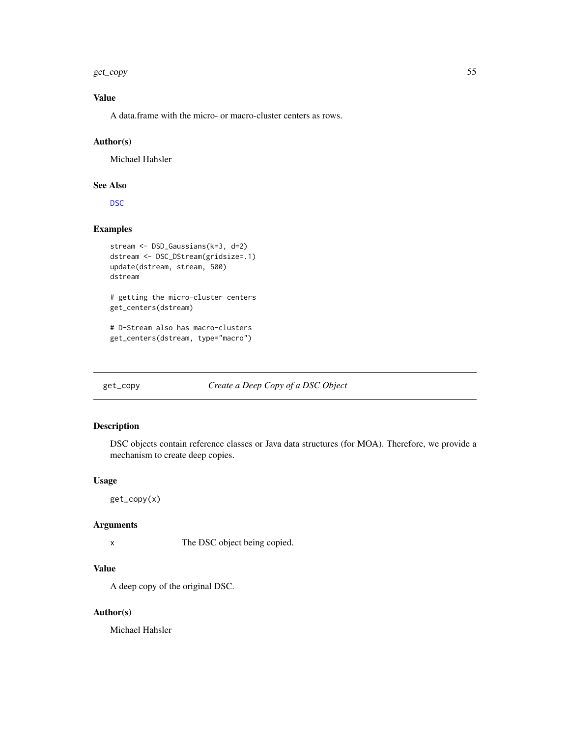<span id="page-54-0"></span>get\_copy 55

# Value

A data.frame with the micro- or macro-cluster centers as rows.

#### Author(s)

Michael Hahsler

# See Also

[DSC](#page-3-0)

# Examples

```
stream <- DSD_Gaussians(k=3, d=2)
dstream <- DSC_DStream(gridsize=.1)
update(dstream, stream, 500)
dstream
# getting the micro-cluster centers
get_centers(dstream)
# D-Stream also has macro-clusters
```

```
get_centers(dstream, type="macro")
```
# get\_copy *Create a Deep Copy of a DSC Object*

### Description

DSC objects contain reference classes or Java data structures (for MOA). Therefore, we provide a mechanism to create deep copies.

# Usage

get\_copy(x)

#### Arguments

x The DSC object being copied.

# Value

A deep copy of the original DSC.

#### Author(s)

Michael Hahsler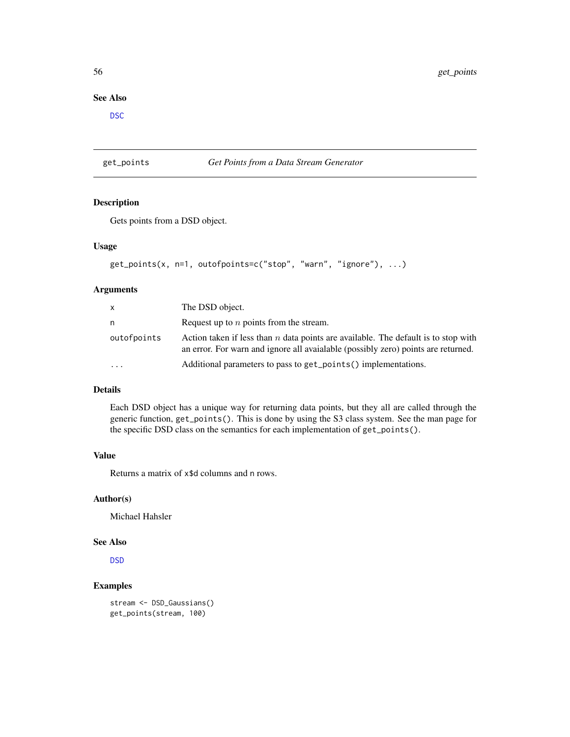# <span id="page-55-1"></span>See Also

**[DSC](#page-3-0)** 

#### <span id="page-55-0"></span>get\_points *Get Points from a Data Stream Generator*

# Description

Gets points from a DSD object.

# Usage

```
get_points(x, n=1, outofpoints=c("stop", "warn", "ignore"), ...)
```
#### Arguments

| x           | The DSD object.                                                                                                                                                        |
|-------------|------------------------------------------------------------------------------------------------------------------------------------------------------------------------|
| n           | Request up to $n$ points from the stream.                                                                                                                              |
| outofpoints | Action taken if less than n data points are available. The default is to stop with<br>an error. For warn and ignore all available (possibly zero) points are returned. |
| .           | Additional parameters to pass to get_points() implementations.                                                                                                         |

# Details

Each DSD object has a unique way for returning data points, but they all are called through the generic function, get\_points(). This is done by using the S3 class system. See the man page for the specific DSD class on the semantics for each implementation of get\_points().

# Value

Returns a matrix of x\$d columns and n rows.

# Author(s)

Michael Hahsler

## See Also

**[DSD](#page-27-0)** 

# Examples

stream <- DSD\_Gaussians() get\_points(stream, 100)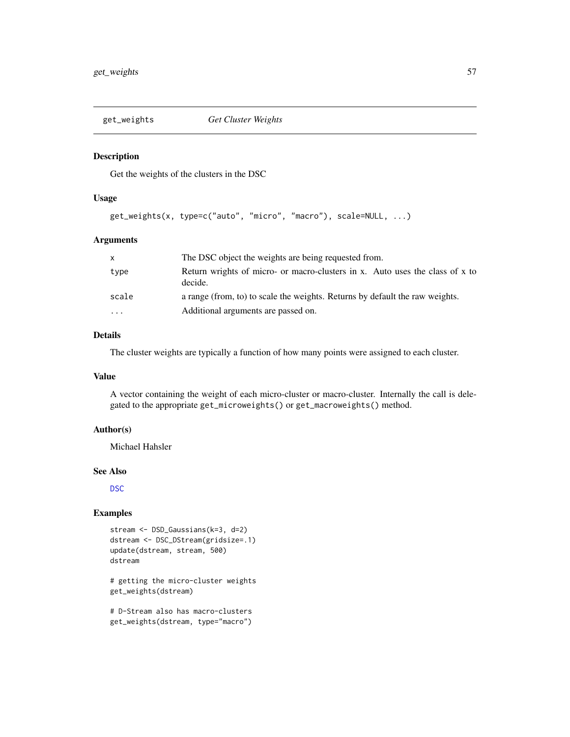<span id="page-56-1"></span><span id="page-56-0"></span>

#### Description

Get the weights of the clusters in the DSC

#### Usage

```
get_weights(x, type=c("auto", "micro", "macro"), scale=NULL, ...)
```
# Arguments

| X                       | The DSC object the weights are being requested from.                                    |  |
|-------------------------|-----------------------------------------------------------------------------------------|--|
| type                    | Return wrights of micro- or macro-clusters in x. Auto uses the class of x to<br>decide. |  |
| scale                   | a range (from, to) to scale the weights. Returns by default the raw weights.            |  |
| $\cdot$ $\cdot$ $\cdot$ | Additional arguments are passed on.                                                     |  |

## Details

The cluster weights are typically a function of how many points were assigned to each cluster.

#### Value

A vector containing the weight of each micro-cluster or macro-cluster. Internally the call is delegated to the appropriate get\_microweights() or get\_macroweights() method.

# Author(s)

Michael Hahsler

#### See Also

[DSC](#page-3-0)

#### Examples

```
stream <- DSD_Gaussians(k=3, d=2)
dstream <- DSC_DStream(gridsize=.1)
update(dstream, stream, 500)
dstream
```
# getting the micro-cluster weights get\_weights(dstream)

# D-Stream also has macro-clusters get\_weights(dstream, type="macro")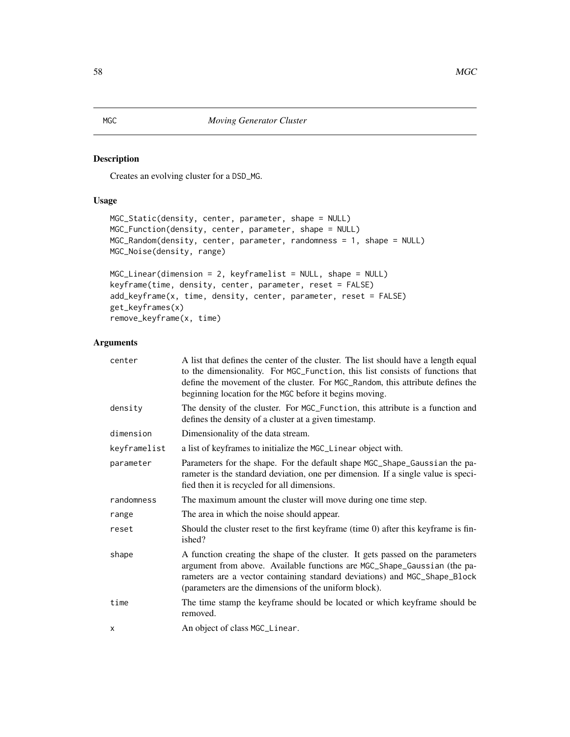# <span id="page-57-0"></span>Description

Creates an evolving cluster for a DSD\_MG.

# Usage

```
MGC_Static(density, center, parameter, shape = NULL)
MGC_Function(density, center, parameter, shape = NULL)
MGC_Random(density, center, parameter, randomness = 1, shape = NULL)
MGC_Noise(density, range)
```

```
MGC_Linear(dimension = 2, keyframelist = NULL, shape = NULL)
keyframe(time, density, center, parameter, reset = FALSE)
add_keyframe(x, time, density, center, parameter, reset = FALSE)
get_keyframes(x)
remove_keyframe(x, time)
```
# Arguments

| A list that defines the center of the cluster. The list should have a length equal<br>to the dimensionality. For MGC_Function, this list consists of functions that<br>define the movement of the cluster. For MGC_Random, this attribute defines the<br>beginning location for the MGC before it begins moving. |
|------------------------------------------------------------------------------------------------------------------------------------------------------------------------------------------------------------------------------------------------------------------------------------------------------------------|
| The density of the cluster. For MGC_Function, this attribute is a function and<br>defines the density of a cluster at a given timestamp.                                                                                                                                                                         |
| Dimensionality of the data stream.                                                                                                                                                                                                                                                                               |
| a list of keyframes to initialize the MGC_Linear object with.                                                                                                                                                                                                                                                    |
| Parameters for the shape. For the default shape MGC_Shape_Gaussian the pa-<br>rameter is the standard deviation, one per dimension. If a single value is speci-<br>fied then it is recycled for all dimensions.                                                                                                  |
| The maximum amount the cluster will move during one time step.                                                                                                                                                                                                                                                   |
| The area in which the noise should appear.                                                                                                                                                                                                                                                                       |
| Should the cluster reset to the first keyframe (time 0) after this keyframe is fin-<br>ished?                                                                                                                                                                                                                    |
| A function creating the shape of the cluster. It gets passed on the parameters<br>argument from above. Available functions are MGC_Shape_Gaussian (the pa-<br>rameters are a vector containing standard deviations) and MGC_Shape_Block<br>(parameters are the dimensions of the uniform block).                 |
| The time stamp the keyframe should be located or which keyframe should be<br>removed.                                                                                                                                                                                                                            |
| An object of class MGC_Linear.                                                                                                                                                                                                                                                                                   |
|                                                                                                                                                                                                                                                                                                                  |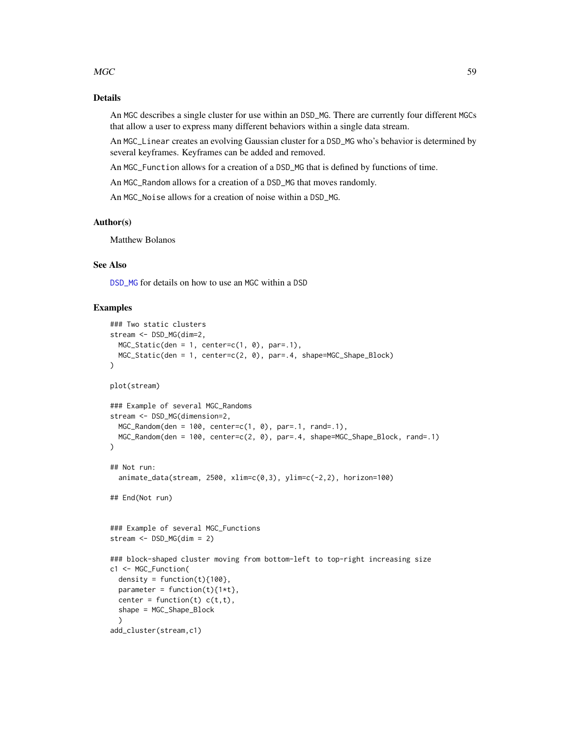#### <span id="page-58-0"></span> $MGC$  59

#### Details

An MGC describes a single cluster for use within an DSD\_MG. There are currently four different MGCs that allow a user to express many different behaviors within a single data stream.

An MGC\_Linear creates an evolving Gaussian cluster for a DSD\_MG who's behavior is determined by several keyframes. Keyframes can be added and removed.

An MGC\_Function allows for a creation of a DSD\_MG that is defined by functions of time.

An MGC\_Random allows for a creation of a DSD\_MG that moves randomly.

An MGC\_Noise allows for a creation of noise within a DSD\_MG.

#### Author(s)

Matthew Bolanos

# See Also

[DSD\\_MG](#page-34-0) for details on how to use an MGC within a DSD

#### Examples

```
### Two static clusters
stream <- DSD_MG(dim=2,
 MGC_Static(den = 1, center=c(1, 0), par=.1),MGC_Static(den = 1, center=c(2, 0), par=.4, shape=MGC_Shape_Block)
)
plot(stream)
### Example of several MGC_Randoms
stream <- DSD_MG(dimension=2,
  MGC_Random(den = 100, center=c(1, 0), par=.1, rand=.1),
  MGC_Random(den = 100, center=c(2, 0), par=.4, shape=MGC_Shape_Block, rand=.1)
)
## Not run:
  animate_data(stream, 2500, xlim=c(0,3), ylim=c(-2,2), horizon=100)
## End(Not run)
### Example of several MGC_Functions
stream <- DSD_MG(dim = 2)
### block-shaped cluster moving from bottom-left to top-right increasing size
c1 <- MGC_Function(
  density = function(t)\{100\},
  parameter = function(t)\{1*t\},
  center = function(t) c(t,t),
  shape = MGC_Shape_Block
  \lambdaadd_cluster(stream,c1)
```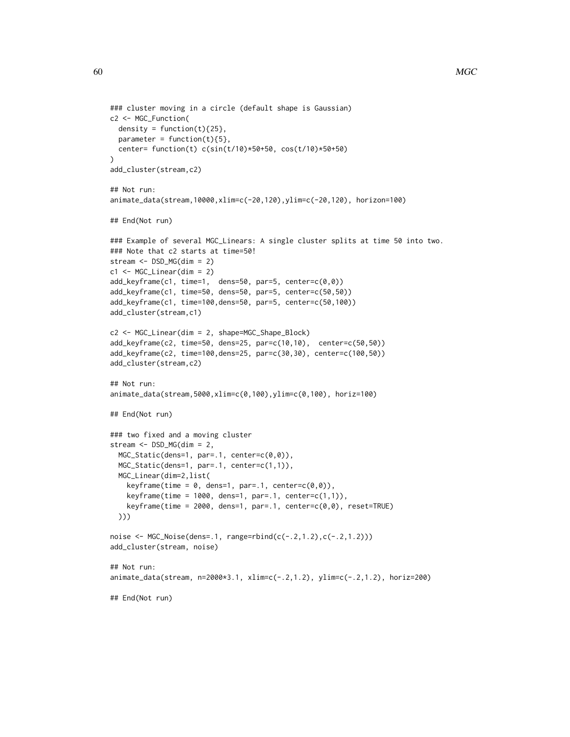```
### cluster moving in a circle (default shape is Gaussian)
c2 <- MGC_Function(
 density = function(t)\{25\},parameter = function(t){5},
  center= function(t) c(sin(t/10)*50+50, cos(t/10)*50+50)
)
add_cluster(stream,c2)
## Not run:
animate_data(stream,10000,xlim=c(-20,120),ylim=c(-20,120), horizon=100)
## End(Not run)
### Example of several MGC_Linears: A single cluster splits at time 50 into two.
### Note that c2 starts at time=50!
stream <- DSD_MG(dim = 2)
c1 <- MGC_Linear(dim = 2)
add_keyframe(c1, time=1, dens=50, par=5, center=c(0,0))
add_keyframe(c1, time=50, dens=50, par=5, center=c(50,50))
add_keyframe(c1, time=100,dens=50, par=5, center=c(50,100))
add_cluster(stream,c1)
c2 <- MGC_Linear(dim = 2, shape=MGC_Shape_Block)
add_keyframe(c2, time=50, dens=25, par=c(10,10), center=c(50,50))
add_keyframe(c2, time=100,dens=25, par=c(30,30), center=c(100,50))
add_cluster(stream,c2)
## Not run:
animate_data(stream,5000,xlim=c(0,100),ylim=c(0,100), horiz=100)
## End(Not run)
### two fixed and a moving cluster
stream <- DSD_MG(dim = 2,
  MGC_Static(dens=1, par=.1, center=c(0,0)),
  MGC_Static(dens=1, par=.1, center=c(1,1)),
  MGC_Linear(dim=2,list(
    keyframe(time = 0, dens=1, par=.1, center=c(0,0)),
    keyframe(time = 1000, dens=1, par=.1, center=c(1,1)),keyframe(time = 2000, dens=1, par=.1, center=c(0,0), reset=TRUE))))
noise <- MGC_Noise(dens=.1, range=rbind(c(-.2,1.2),c(-.2,1.2)))
add_cluster(stream, noise)
## Not run:
animate_data(stream, n=2000*3.1, xlim=c(-.2,1.2), ylim=c(-.2,1.2), horiz=200)
## End(Not run)
```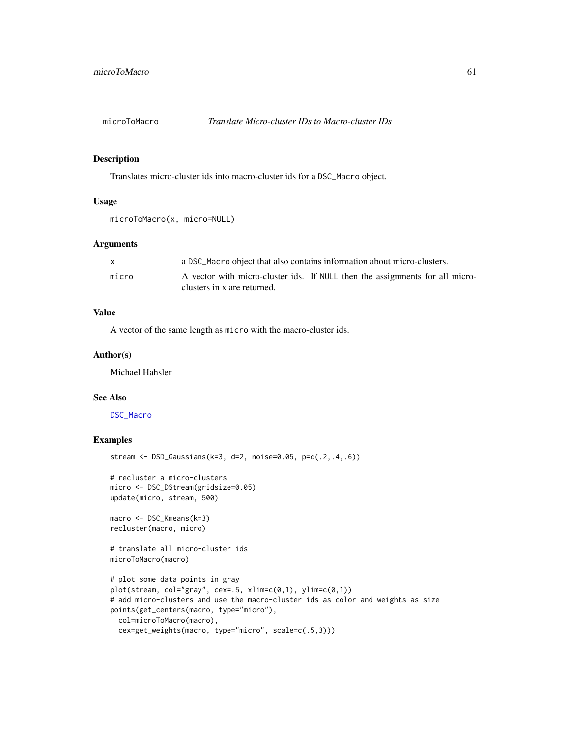<span id="page-60-0"></span>

#### Description

Translates micro-cluster ids into macro-cluster ids for a DSC\_Macro object.

#### Usage

```
microToMacro(x, micro=NULL)
```
#### Arguments

| X     | a DSC_Macro object that also contains information about micro-clusters.                                     |  |
|-------|-------------------------------------------------------------------------------------------------------------|--|
| micro | A vector with micro-cluster ids. If NULL then the assignments for all micro-<br>clusters in x are returned. |  |

# Value

A vector of the same length as micro with the macro-cluster ids.

#### Author(s)

Michael Hahsler

#### See Also

[DSC\\_Macro](#page-19-0)

# Examples

```
stream <- DSD_Gaussians(k=3, d=2, noise=0.05, p=c(.2,.4,.6))
```

```
# recluster a micro-clusters
micro <- DSC_DStream(gridsize=0.05)
update(micro, stream, 500)
```

```
macro <- DSC_Kmeans(k=3)
recluster(macro, micro)
```
# translate all micro-cluster ids microToMacro(macro)

```
# plot some data points in gray
plot(stream, col="gray", cex=.5, xlim=c(0,1), ylim=c(0,1))
# add micro-clusters and use the macro-cluster ids as color and weights as size
points(get_centers(macro, type="micro"),
 col=microToMacro(macro),
 cex=get_weights(macro, type="micro", scale=c(.5,3)))
```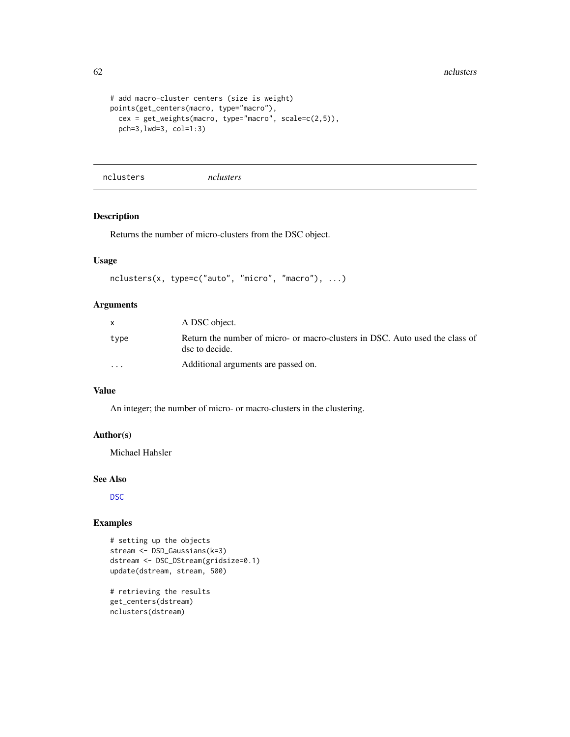```
# add macro-cluster centers (size is weight)
points(get_centers(macro, type="macro"),
  cex = get_weights(macro, type="macro", scale=c(2,5)),
  pch=3,lwd=3, col=1:3)
```
nclusters *nclusters*

#### Description

Returns the number of micro-clusters from the DSC object.

# Usage

```
nclusters(x, type=c("auto", "micro", "macro"), ...)
```
# Arguments

|                         | A DSC object.                                                                                  |
|-------------------------|------------------------------------------------------------------------------------------------|
| type                    | Return the number of micro- or macro-clusters in DSC. Auto used the class of<br>dsc to decide. |
| $\cdot$ $\cdot$ $\cdot$ | Additional arguments are passed on.                                                            |

# Value

An integer; the number of micro- or macro-clusters in the clustering.

# Author(s)

Michael Hahsler

#### See Also

[DSC](#page-3-0)

# Examples

```
# setting up the objects
stream <- DSD_Gaussians(k=3)
dstream <- DSC_DStream(gridsize=0.1)
update(dstream, stream, 500)
```
# retrieving the results get\_centers(dstream) nclusters(dstream)

<span id="page-61-0"></span>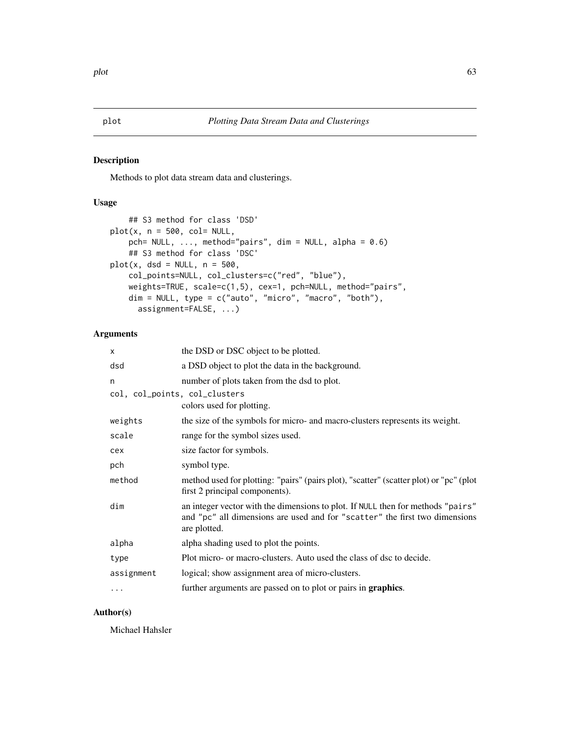# <span id="page-62-0"></span>Description

Methods to plot data stream data and clusterings.

# Usage

```
## S3 method for class 'DSD'
plot(x, n = 500, col = NULL,pch= NULL, \ldots, method="pairs", dim = NULL, alpha = 0.6)
    ## S3 method for class 'DSC'
plot(x, dsd = NULL, n = 500,col_points=NULL, col_clusters=c("red", "blue"),
    weights=TRUE, scale=c(1,5), cex=1, pch=NULL, method="pairs",
    dim = NULL, type = c("auto", "micro", "macro", "both"),
      assignment=FALSE, ...)
```
### Arguments

| X                             | the DSD or DSC object to be plotted.                                                                                                                                           |
|-------------------------------|--------------------------------------------------------------------------------------------------------------------------------------------------------------------------------|
| dsd                           | a DSD object to plot the data in the background.                                                                                                                               |
| n                             | number of plots taken from the dsd to plot.                                                                                                                                    |
| col, col_points, col_clusters | colors used for plotting.                                                                                                                                                      |
| weights                       | the size of the symbols for micro- and macro-clusters represents its weight.                                                                                                   |
| scale                         | range for the symbol sizes used.                                                                                                                                               |
| cex                           | size factor for symbols.                                                                                                                                                       |
| pch                           | symbol type.                                                                                                                                                                   |
| method                        | method used for plotting: "pairs" (pairs plot), "scatter" (scatter plot) or "pc" (plot<br>first 2 principal components).                                                       |
| dim                           | an integer vector with the dimensions to plot. If NULL then for methods "pairs"<br>and "pc" all dimensions are used and for "scatter" the first two dimensions<br>are plotted. |
| alpha                         | alpha shading used to plot the points.                                                                                                                                         |
| type                          | Plot micro- or macro-clusters. Auto used the class of dsc to decide.                                                                                                           |
| assignment                    | logical; show assignment area of micro-clusters.                                                                                                                               |
| .                             | further arguments are passed on to plot or pairs in graphics.                                                                                                                  |
|                               |                                                                                                                                                                                |

# Author(s)

Michael Hahsler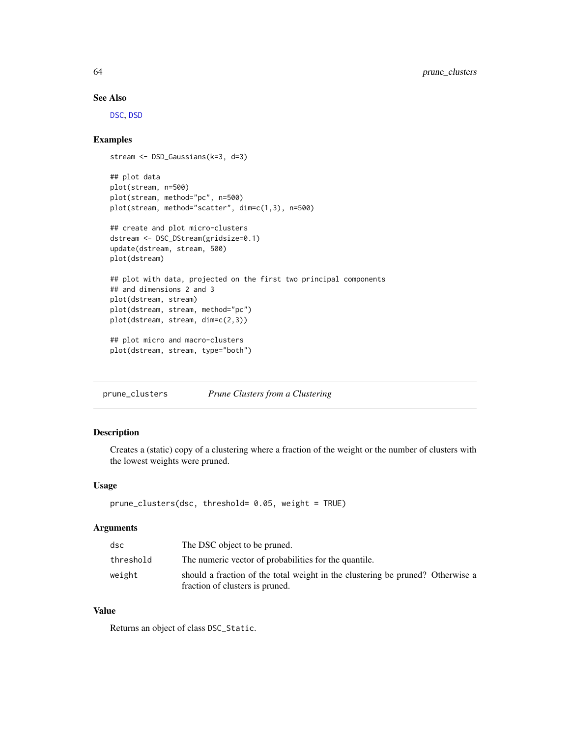# See Also

[DSC](#page-3-0), [DSD](#page-27-0)

# Examples

```
stream <- DSD_Gaussians(k=3, d=3)
## plot data
plot(stream, n=500)
plot(stream, method="pc", n=500)
plot(stream, method="scatter", dim=c(1,3), n=500)
## create and plot micro-clusters
dstream <- DSC_DStream(gridsize=0.1)
update(dstream, stream, 500)
plot(dstream)
## plot with data, projected on the first two principal components
## and dimensions 2 and 3
plot(dstream, stream)
plot(dstream, stream, method="pc")
plot(dstream, stream, dim=c(2,3))
## plot micro and macro-clusters
plot(dstream, stream, type="both")
```
prune\_clusters *Prune Clusters from a Clustering*

#### Description

Creates a (static) copy of a clustering where a fraction of the weight or the number of clusters with the lowest weights were pruned.

#### Usage

```
prune_clusters(dsc, threshold= 0.05, weight = TRUE)
```
#### Arguments

| dsc       | The DSC object to be pruned.                                                                                      |  |
|-----------|-------------------------------------------------------------------------------------------------------------------|--|
| threshold | The numeric vector of probabilities for the quantile.                                                             |  |
| weight    | should a fraction of the total weight in the clustering be pruned? Otherwise a<br>fraction of clusters is pruned. |  |

# Value

Returns an object of class DSC\_Static.

<span id="page-63-0"></span>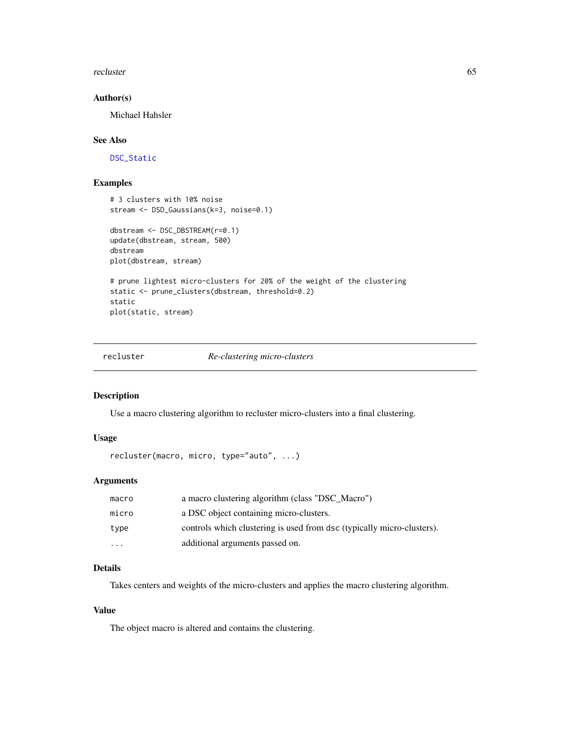<span id="page-64-0"></span>recluster 65

#### Author(s)

Michael Hahsler

#### See Also

[DSC\\_Static](#page-23-0)

# Examples

```
# 3 clusters with 10% noise
stream <- DSD_Gaussians(k=3, noise=0.1)
dbstream <- DSC_DBSTREAM(r=0.1)
update(dbstream, stream, 500)
dbstream
plot(dbstream, stream)
# prune lightest micro-clusters for 20% of the weight of the clustering
static <- prune_clusters(dbstream, threshold=0.2)
static
plot(static, stream)
```
recluster *Re-clustering micro-clusters*

#### Description

Use a macro clustering algorithm to recluster micro-clusters into a final clustering.

# Usage

```
recluster(macro, micro, type="auto", ...)
```
# Arguments

| macro             | a macro clustering algorithm (class "DSC Macro")                       |
|-------------------|------------------------------------------------------------------------|
| micro             | a DSC object containing micro-clusters.                                |
| type              | controls which clustering is used from dsc (typically micro-clusters). |
| $\cdot\cdot\cdot$ | additional arguments passed on.                                        |

# Details

Takes centers and weights of the micro-clusters and applies the macro clustering algorithm.

# Value

The object macro is altered and contains the clustering.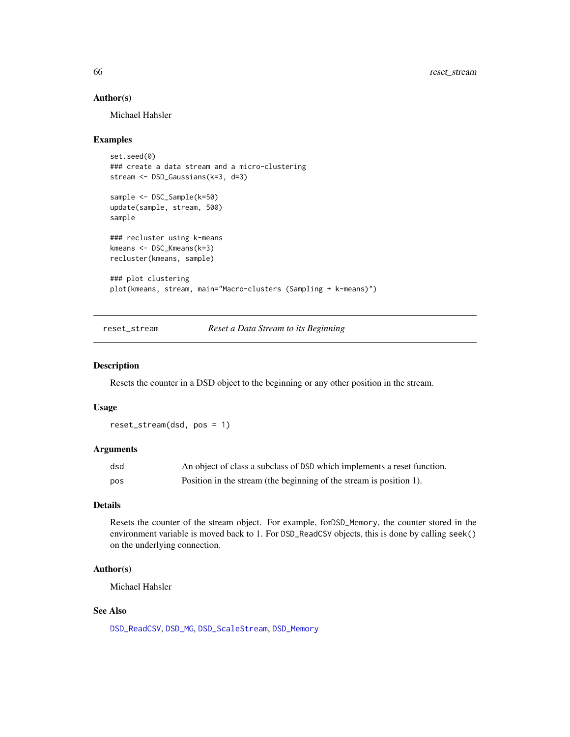#### Author(s)

Michael Hahsler

#### Examples

```
set.seed(0)
### create a data stream and a micro-clustering
stream <- DSD_Gaussians(k=3, d=3)
sample <- DSC_Sample(k=50)
update(sample, stream, 500)
sample
### recluster using k-means
kmeans <- DSC_Kmeans(k=3)
recluster(kmeans, sample)
### plot clustering
plot(kmeans, stream, main="Macro-clusters (Sampling + k-means)")
```
<span id="page-65-0"></span>reset\_stream *Reset a Data Stream to its Beginning*

#### Description

Resets the counter in a DSD object to the beginning or any other position in the stream.

#### Usage

reset\_stream(dsd, pos = 1)

#### Arguments

| dsd | An object of class a subclass of DSD which implements a reset function. |
|-----|-------------------------------------------------------------------------|
| pos | Position in the stream (the beginning of the stream is position 1).     |

#### Details

Resets the counter of the stream object. For example, forDSD\_Memory, the counter stored in the environment variable is moved back to 1. For DSD\_ReadCSV objects, this is done by calling seek() on the underlying connection.

#### Author(s)

Michael Hahsler

#### See Also

[DSD\\_ReadCSV](#page-38-0), [DSD\\_MG](#page-34-0), [DSD\\_ScaleStream](#page-41-0), [DSD\\_Memory](#page-32-0)

<span id="page-65-1"></span>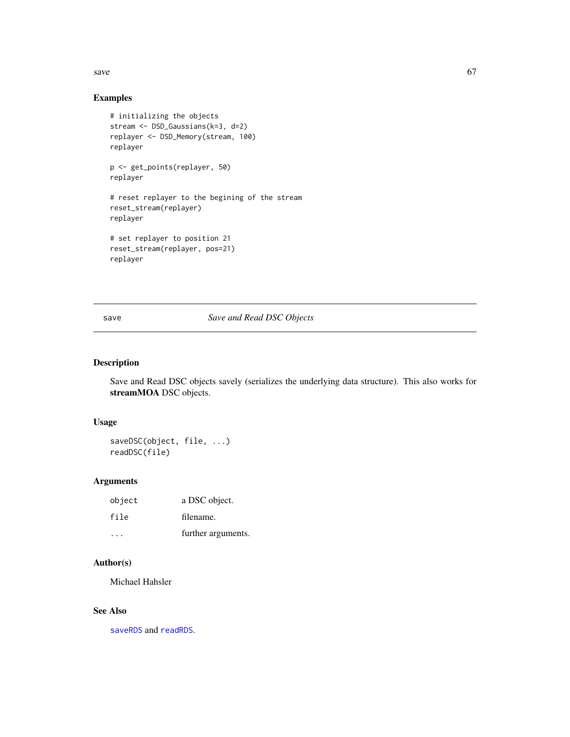<span id="page-66-0"></span>save  $\sim$  67

# Examples

```
# initializing the objects
stream <- DSD_Gaussians(k=3, d=2)
replayer <- DSD_Memory(stream, 100)
replayer
p <- get_points(replayer, 50)
replayer
# reset replayer to the begining of the stream
reset_stream(replayer)
replayer
# set replayer to position 21
reset_stream(replayer, pos=21)
replayer
```
save *Save and Read DSC Objects*

# Description

Save and Read DSC objects savely (serializes the underlying data structure). This also works for streamMOA DSC objects.

# Usage

saveDSC(object, file, ...) readDSC(file)

# Arguments

| object | a DSC object.      |
|--------|--------------------|
| file   | filename.          |
|        | further arguments. |

# Author(s)

Michael Hahsler

# See Also

[saveRDS](#page-0-0) and [readRDS](#page-0-0).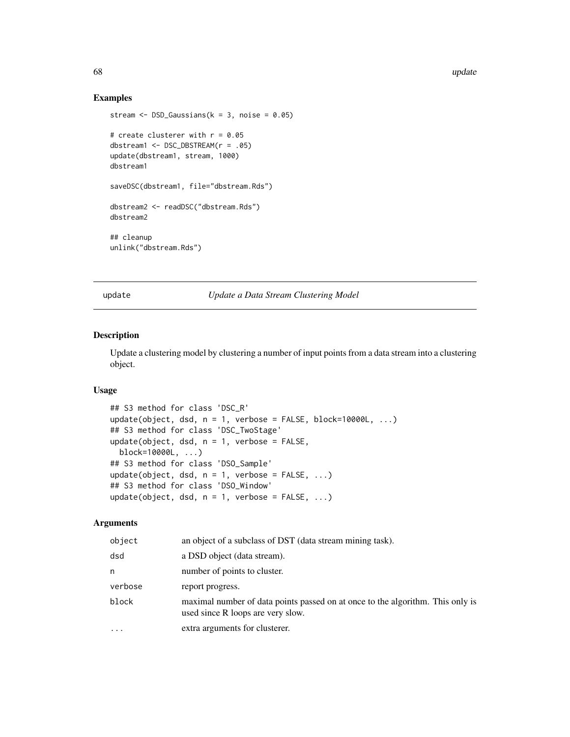68 update

## Examples

```
stream \leq DSD_Gaussians(k = 3, noise = 0.05)
# create clusterer with r = 0.05dbstream1 <- DSC_DBSTREAM(r = .05)
update(dbstream1, stream, 1000)
dbstream1
saveDSC(dbstream1, file="dbstream.Rds")
dbstream2 <- readDSC("dbstream.Rds")
dbstream2
## cleanup
unlink("dbstream.Rds")
```
update *Update a Data Stream Clustering Model*

#### Description

Update a clustering model by clustering a number of input points from a data stream into a clustering object.

#### Usage

```
## S3 method for class 'DSC_R'
update(object, dsd, n = 1, verbose = FALSE, block=10000L, ...)
## S3 method for class 'DSC_TwoStage'
update(object, dsd, n = 1, verbose = FALSE,
 block=10000L, ...)
## S3 method for class 'DSO_Sample'
update(object, dsd, n = 1, verbose = FALSE, ...)## S3 method for class 'DSO_Window'
update(object, dsd, n = 1, verbose = FALSE, ...)
```
# Arguments

| object  | an object of a subclass of DST (data stream mining task).                                                           |
|---------|---------------------------------------------------------------------------------------------------------------------|
| dsd     | a DSD object (data stream).                                                                                         |
| n       | number of points to cluster.                                                                                        |
| verbose | report progress.                                                                                                    |
| block   | maximal number of data points passed on at once to the algorithm. This only is<br>used since R loops are very slow. |
| .       | extra arguments for clusterer.                                                                                      |

<span id="page-67-1"></span>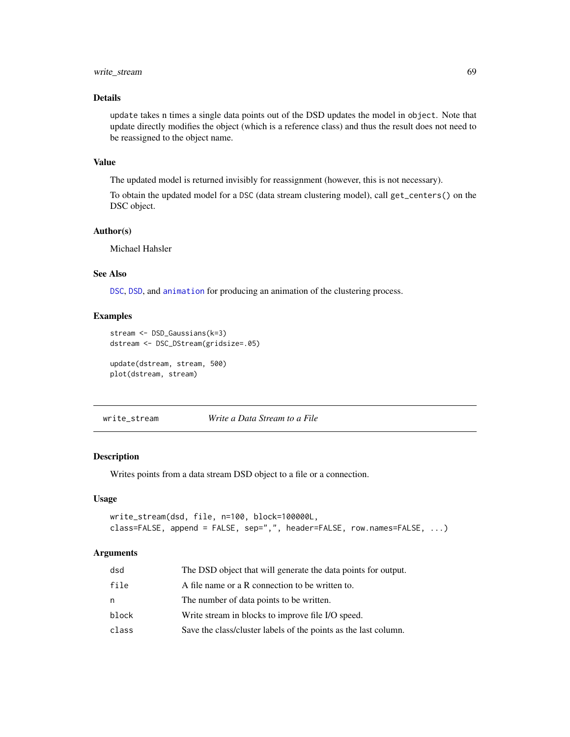# <span id="page-68-0"></span>write\_stream 69

# Details

update takes n times a single data points out of the DSD updates the model in object. Note that update directly modifies the object (which is a reference class) and thus the result does not need to be reassigned to the object name.

#### Value

The updated model is returned invisibly for reassignment (however, this is not necessary).

To obtain the updated model for a DSC (data stream clustering model), call get\_centers() on the DSC object.

# Author(s)

Michael Hahsler

# See Also

[DSC](#page-3-0), [DSD](#page-27-0), and [animation](#page-2-1) for producing an animation of the clustering process.

#### Examples

```
stream <- DSD_Gaussians(k=3)
dstream <- DSC_DStream(gridsize=.05)
```
update(dstream, stream, 500) plot(dstream, stream)

write\_stream *Write a Data Stream to a File*

#### Description

Writes points from a data stream DSD object to a file or a connection.

#### Usage

```
write_stream(dsd, file, n=100, block=100000L,
class=FALSE, append = FALSE, sep=",", header=FALSE, row.names=FALSE, ...)
```
#### Arguments

| file<br>A file name or a R connection to be written to.<br>The number of data points to be written.<br>n<br>Write stream in blocks to improve file I/O speed.<br>block<br>Save the class/cluster labels of the points as the last column.<br>class | dsd | The DSD object that will generate the data points for output. |
|----------------------------------------------------------------------------------------------------------------------------------------------------------------------------------------------------------------------------------------------------|-----|---------------------------------------------------------------|
|                                                                                                                                                                                                                                                    |     |                                                               |
|                                                                                                                                                                                                                                                    |     |                                                               |
|                                                                                                                                                                                                                                                    |     |                                                               |
|                                                                                                                                                                                                                                                    |     |                                                               |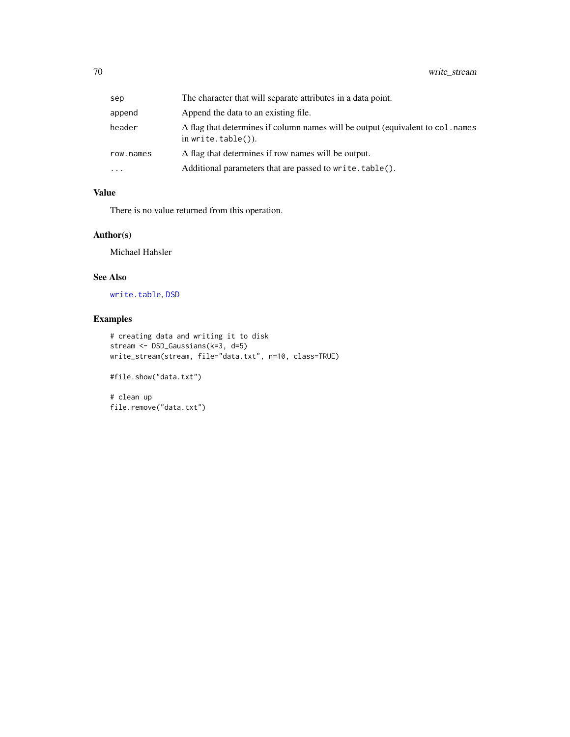<span id="page-69-0"></span>

| sep       | The character that will separate attributes in a data point.                                              |
|-----------|-----------------------------------------------------------------------------------------------------------|
| append    | Append the data to an existing file.                                                                      |
| header    | A flag that determines if column names will be output (equivalent to col. names<br>in write.table $()$ ). |
| row.names | A flag that determines if row names will be output.                                                       |
| $\cdots$  | Additional parameters that are passed to write.table().                                                   |

# Value

There is no value returned from this operation.

# Author(s)

Michael Hahsler

# See Also

[write.table](#page-0-0), [DSD](#page-27-0)

# Examples

```
# creating data and writing it to disk
stream <- DSD_Gaussians(k=3, d=5)
write_stream(stream, file="data.txt", n=10, class=TRUE)
#file.show("data.txt")
```
# clean up file.remove("data.txt")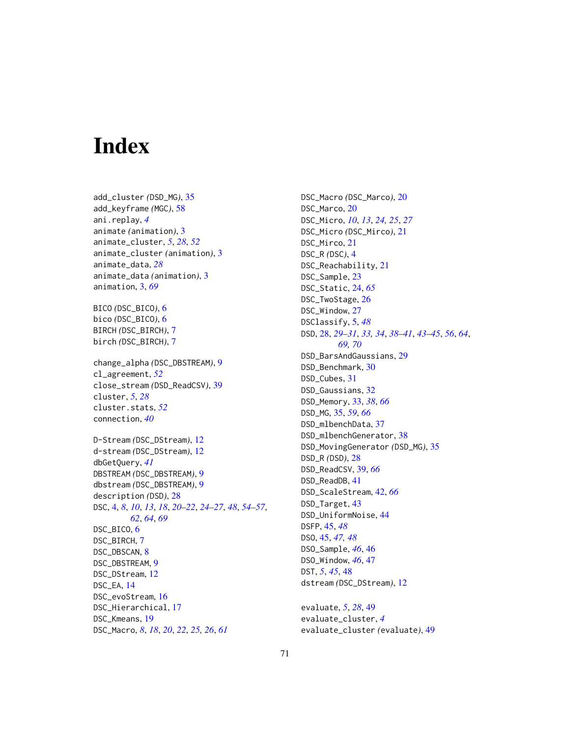# Index

add\_cluster *(*DSD\_MG*)*, [35](#page-34-1) add\_keyframe *(*MGC*)*, [58](#page-57-0) ani.replay, *[4](#page-3-1)* animate *(*animation*)*, [3](#page-2-2) animate\_cluster, *[5](#page-4-1)*, *[28](#page-27-1)*, *[52](#page-51-0)* animate\_cluster *(*animation*)*, [3](#page-2-2) animate\_data, *[28](#page-27-1)* animate\_data *(*animation*)*, [3](#page-2-2) animation, [3,](#page-2-2) *[69](#page-68-0)* BICO *(*DSC\_BICO*)*, [6](#page-5-0) bico *(*DSC\_BICO*)*, [6](#page-5-0) BIRCH *(*DSC\_BIRCH*)*, [7](#page-6-0) birch *(*DSC\_BIRCH*)*, [7](#page-6-0) change\_alpha *(*DSC\_DBSTREAM*)*, [9](#page-8-0) cl\_agreement, *[52](#page-51-0)* close\_stream *(*DSD\_ReadCSV*)*, [39](#page-38-1) cluster, *[5](#page-4-1)*, *[28](#page-27-1)* cluster.stats, *[52](#page-51-0)* connection, *[40](#page-39-0)* D-Stream *(*DSC\_DStream*)*, [12](#page-11-0) d-stream *(*DSC\_DStream*)*, [12](#page-11-0) dbGetQuery, *[41](#page-40-0)* DBSTREAM *(*DSC\_DBSTREAM*)*, [9](#page-8-0) dbstream *(*DSC\_DBSTREAM*)*, [9](#page-8-0) description *(*DSD*)*, [28](#page-27-1) DSC, [4,](#page-3-1) *[8](#page-7-0)*, *[10](#page-9-0)*, *[13](#page-12-0)*, *[18](#page-17-0)*, *[20–](#page-19-1)[22](#page-21-0)*, *[24–](#page-23-1)[27](#page-26-0)*, *[48](#page-47-1)*, *[54–](#page-53-0)[57](#page-56-1)*, *[62](#page-61-0)*, *[64](#page-63-0)*, *[69](#page-68-0)* DSC\_BICO, [6](#page-5-0) DSC\_BIRCH, [7](#page-6-0) DSC\_DBSCAN, [8](#page-7-0) DSC\_DBSTREAM, [9](#page-8-0) DSC\_DStream, [12](#page-11-0) DSC\_EA, [14](#page-13-0) DSC\_evoStream, [16](#page-15-0) DSC\_Hierarchical, [17](#page-16-0) DSC\_Kmeans, [19](#page-18-0) DSC\_Macro, *[8](#page-7-0)*, *[18](#page-17-0)*, *[20](#page-19-1)*, *[22](#page-21-0)*, *[25,](#page-24-0) [26](#page-25-0)*, *[61](#page-60-0)*

DSC\_Macro *(*DSC\_Marco*)*, [20](#page-19-1) DSC\_Marco, [20](#page-19-1) DSC\_Micro, *[10](#page-9-0)*, *[13](#page-12-0)*, *[24,](#page-23-1) [25](#page-24-0)*, *[27](#page-26-0)* DSC\_Micro *(*DSC\_Mirco*)*, [21](#page-20-0) DSC\_Mirco, [21](#page-20-0) DSC\_R *(*DSC*)*, [4](#page-3-1) DSC\_Reachability, [21](#page-20-0) DSC\_Sample, [23](#page-22-0) DSC\_Static, [24,](#page-23-1) *[65](#page-64-0)* DSC\_TwoStage, [26](#page-25-0) DSC\_Window, [27](#page-26-0) DSClassify, [5,](#page-4-1) *[48](#page-47-1)* DSD, [28,](#page-27-1) *[29](#page-28-0)[–31](#page-30-0)*, *[33,](#page-32-1) [34](#page-33-0)*, *[38](#page-37-0)[–41](#page-40-0)*, *[43](#page-42-0)[–45](#page-44-2)*, *[56](#page-55-1)*, *[64](#page-63-0)*, *[69,](#page-68-0) [70](#page-69-0)* DSD\_BarsAndGaussians, [29](#page-28-0) DSD\_Benchmark, [30](#page-29-0) DSD\_Cubes, [31](#page-30-0) DSD\_Gaussians, [32](#page-31-0) DSD\_Memory, [33,](#page-32-1) *[38](#page-37-0)*, *[66](#page-65-1)* DSD\_MG, [35,](#page-34-1) *[59](#page-58-0)*, *[66](#page-65-1)* DSD\_mlbenchData, [37](#page-36-0) DSD\_mlbenchGenerator, [38](#page-37-0) DSD\_MovingGenerator *(*DSD\_MG*)*, [35](#page-34-1) DSD\_R *(*DSD*)*, [28](#page-27-1) DSD\_ReadCSV, [39,](#page-38-1) *[66](#page-65-1)* DSD\_ReadDB, [41](#page-40-0) DSD\_ScaleStream, [42,](#page-41-1) *[66](#page-65-1)* DSD\_Target, [43](#page-42-0) DSD\_UniformNoise, [44](#page-43-0) DSFP, [45,](#page-44-2) *[48](#page-47-1)* DSO, [45,](#page-44-2) *[47,](#page-46-1) [48](#page-47-1)* DSO\_Sample, *[46](#page-45-1)*, [46](#page-45-1) DSO\_Window, *[46](#page-45-1)*, [47](#page-46-1) DST, *[5](#page-4-1)*, *[45](#page-44-2)*, [48](#page-47-1) dstream *(*DSC\_DStream*)*, [12](#page-11-0)

evaluate, *[5](#page-4-1)*, *[28](#page-27-1)*, [49](#page-48-0) evaluate\_cluster, *[4](#page-3-1)* evaluate\_cluster *(*evaluate*)*, [49](#page-48-0)